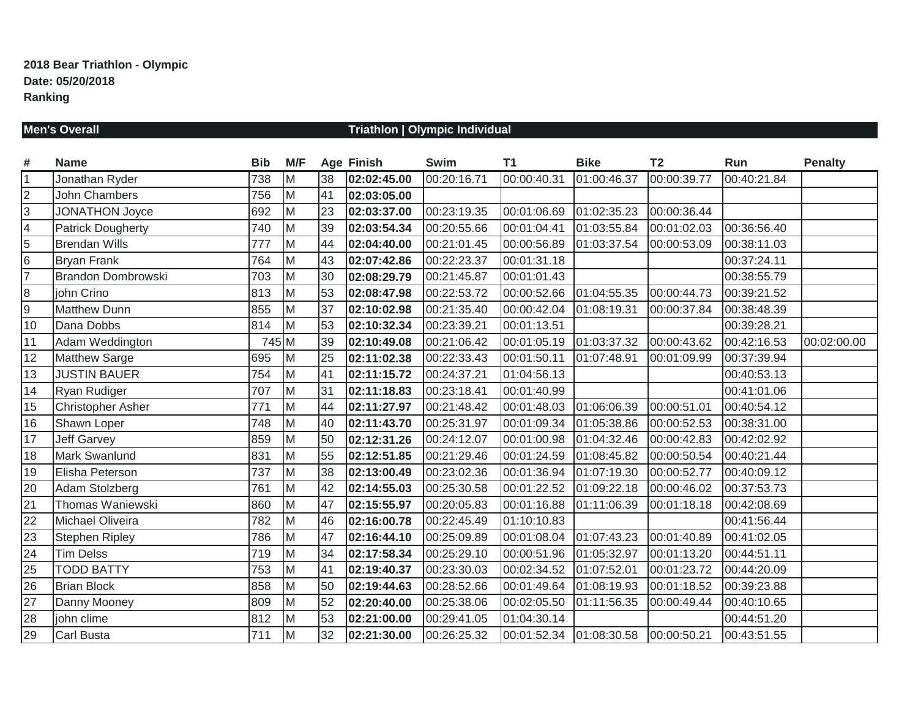# **Men's Overall Triathlon | Olympic Individual**

| #               | <b>Name</b>              | <b>Bib</b> | M/F |    | <b>Age Finish</b> | <b>Swim</b> | <b>T1</b>                | <b>Bike</b> | <b>T2</b>   | Run         | <b>Penalty</b> |
|-----------------|--------------------------|------------|-----|----|-------------------|-------------|--------------------------|-------------|-------------|-------------|----------------|
| $\overline{1}$  | Jonathan Ryder           | 738        | Iм  | 38 | 02:02:45.00       | 00:20:16.71 | 00:00:40.31              | 01:00:46.37 | 00:00:39.77 | 00:40:21.84 |                |
| $\overline{2}$  | John Chambers            | 756        | M   | 41 | 02:03:05.00       |             |                          |             |             |             |                |
| $\overline{3}$  | <b>JONATHON Joyce</b>    | 692        | M   | 23 | 02:03:37.00       | 00:23:19.35 | 00:01:06.69              | 01:02:35.23 | 00:00:36.44 |             |                |
| $\overline{4}$  | <b>Patrick Dougherty</b> | 740        | M   | 39 | 02:03:54.34       | 00:20:55.66 | 00:01:04.41              | 01:03:55.84 | 00:01:02.03 | 00:36:56.40 |                |
| $\overline{5}$  | <b>Brendan Wills</b>     | 777        | Iм  | 44 | 02:04:40.00       | 00:21:01.45 | 00:00:56.89              | 01:03:37.54 | 00:00:53.09 | 00:38:11.03 |                |
| $\overline{6}$  | <b>Bryan Frank</b>       | 764        | M   | 43 | 02:07:42.86       | 00:22:23.37 | 00:01:31.18              |             |             | 00:37:24.11 |                |
| $\overline{7}$  | Brandon Dombrowski       | 703        | Iм  | 30 | 02:08:29.79       | 00:21:45.87 | 00:01:01.43              |             |             | 00:38:55.79 |                |
| $\bf 8$         | john Crino               | 813        | M   | 53 | 02:08:47.98       | 00:22:53.72 | 00:00:52.66              | 01:04:55.35 | 00:00:44.73 | 00:39:21.52 |                |
| $\overline{9}$  | <b>Matthew Dunn</b>      | 855        | Iм  | 37 | 02:10:02.98       | 00:21:35.40 | 00:00:42.04              | 01:08:19.31 | 00:00:37.84 | 00:38:48.39 |                |
| 10              | Dana Dobbs               | 814        | M   | 53 | 02:10:32.34       | 00:23:39.21 | 00:01:13.51              |             |             | 00:39:28.21 |                |
| 11              | Adam Weddington          | 745 M      |     | 39 | 02:10:49.08       | 00:21:06.42 | 00:01:05.19              | 01:03:37.32 | 00:00:43.62 | 00:42:16.53 | 00:02:00.00    |
| 12              | <b>Matthew Sarge</b>     | 695        | M   | 25 | 02:11:02.38       | 00:22:33.43 | 00:01:50.11              | 01:07:48.91 | 00:01:09.99 | 00:37:39.94 |                |
| 13              | <b>JUSTIN BAUER</b>      | 754        | M   | 41 | 02:11:15.72       | 00:24:37.21 | 01:04:56.13              |             |             | 00:40:53.13 |                |
| 14              | Ryan Rudiger             | 707        | M   | 31 | 02:11:18.83       | 00:23:18.41 | 00:01:40.99              |             |             | 00:41:01.06 |                |
| 15              | <b>Christopher Asher</b> | 771        | M   | 44 | 02:11:27.97       | 00:21:48.42 | 00:01:48.03              | 01:06:06.39 | 00:00:51.01 | 00:40:54.12 |                |
| 16              | Shawn Loper              | 748        | M   | 40 | 02:11:43.70       | 00:25:31.97 | 00:01:09.34              | 01:05:38.86 | 00:00:52.53 | 00:38:31.00 |                |
| 17              | <b>Jeff Garvey</b>       | 859        | M   | 50 | 02:12:31.26       | 00:24:12.07 | 00:01:00.98              | 01:04:32.46 | 00:00:42.83 | 00:42:02.92 |                |
| 18              | <b>Mark Swanlund</b>     | 831        | M   | 55 | 02:12:51.85       | 00:21:29.46 | 00:01:24.59              | 01:08:45.82 | 00:00:50.54 | 00:40:21.44 |                |
| 19              | Elisha Peterson          | 737        | M   | 38 | 02:13:00.49       | 00:23:02.36 | 00:01:36.94              | 01:07:19.30 | 00:00:52.77 | 00:40:09.12 |                |
| 20              | Adam Stolzberg           | 761        | M   | 42 | 02:14:55.03       | 00:25:30.58 | 00:01:22.52              | 01:09:22.18 | 00:00:46.02 | 00:37:53.73 |                |
| 21              | Thomas Waniewski         | 860        | M   | 47 | 02:15:55.97       | 00:20:05.83 | 00:01:16.88              | 01:11:06.39 | 00:01:18.18 | 00:42:08.69 |                |
| 22              | Michael Oliveira         | 782        | M   | 46 | 02:16:00.78       | 00:22:45.49 | 01:10:10.83              |             |             | 00:41:56.44 |                |
| $\overline{23}$ | <b>Stephen Ripley</b>    | 786        | M   | 47 | 02:16:44.10       | 00:25:09.89 | 00:01:08.04  01:07:43.23 |             | 00:01:40.89 | 00:41:02.05 |                |
| 24              | <b>Tim Delss</b>         | 719        | M   | 34 | 02:17:58.34       | 00:25:29.10 | 00:00:51.96              | 01:05:32.97 | 00:01:13.20 | 00:44:51.11 |                |
| 25              | <b>TODD BATTY</b>        | 753        | M   | 41 | 02:19:40.37       | 00:23:30.03 | 00:02:34.52              | 01:07:52.01 | 00:01:23.72 | 00:44:20.09 |                |
| 26              | <b>Brian Block</b>       | 858        | M   | 50 | 02:19:44.63       | 00:28:52.66 | 00:01:49.64              | 01:08:19.93 | 00:01:18.52 | 00:39:23.88 |                |
| $\overline{27}$ | Danny Mooney             | 809        | M   | 52 | 02:20:40.00       | 00:25:38.06 | 00:02:05.50              | 01:11:56.35 | 00:00:49.44 | 00:40:10.65 |                |
| 28              | john clime               | 812        | M   | 53 | 02:21:00.00       | 00:29:41.05 | 01:04:30.14              |             |             | 00:44:51.20 |                |
| 29              | <b>Carl Busta</b>        | 711        | M   | 32 | 02:21:30.00       | 00:26:25.32 | 00:01:52.34 01:08:30.58  |             | 00:00:50.21 | 00:43:51.55 |                |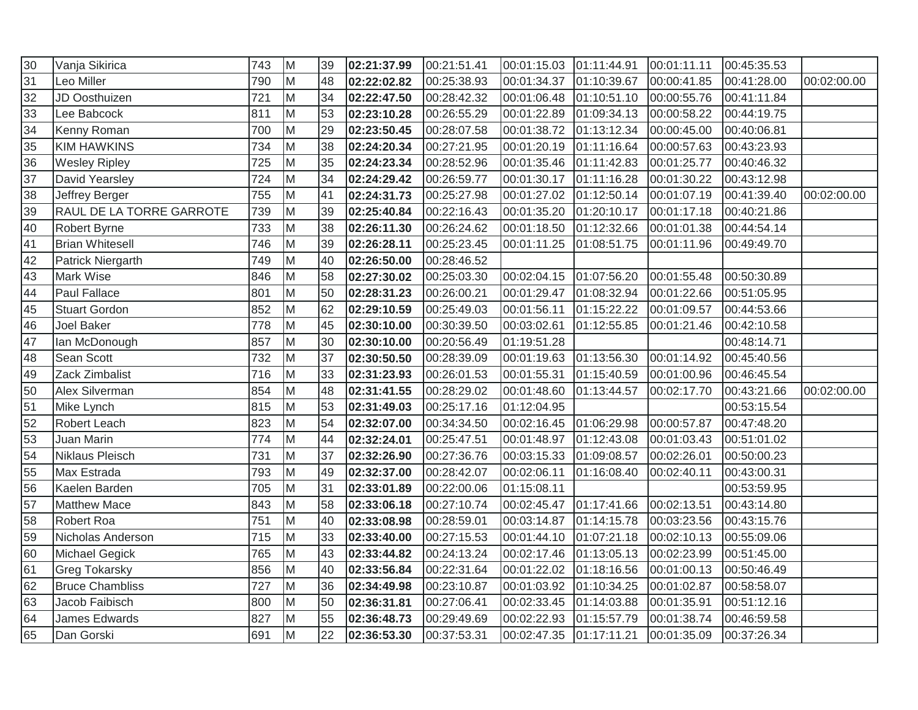| 30              | Vanja Sikirica           | 743 | M        | 39 | 02:21:37.99 | 00:21:51.41 | 00:01:15.03 01:11:44.91  |             | 00:01:11.11 | 00:45:35.53 |             |
|-----------------|--------------------------|-----|----------|----|-------------|-------------|--------------------------|-------------|-------------|-------------|-------------|
| 31              | Leo Miller               | 790 | M        | 48 | 02:22:02.82 | 00:25:38.93 | 00:01:34.37              | 01:10:39.67 | 00:00:41.85 | 00:41:28.00 | 00:02:00.00 |
| 32              | JD Oosthuizen            | 721 | M        | 34 | 02:22:47.50 | 00:28:42.32 | 00:01:06.48  01:10:51.10 |             | 00:00:55.76 | 00:41:11.84 |             |
| 33              | Lee Babcock              | 811 | M        | 53 | 02:23:10.28 | 00:26:55.29 | 00:01:22.89              | 01:09:34.13 | 00:00:58.22 | 00:44:19.75 |             |
| 34              | Kenny Roman              | 700 | M        | 29 | 02:23:50.45 | 00:28:07.58 | 00:01:38.72              | 01:13:12.34 | 00:00:45.00 | 00:40:06.81 |             |
| $\overline{35}$ | <b>KIM HAWKINS</b>       | 734 | M        | 38 | 02:24:20.34 | 00:27:21.95 | 00:01:20.19              | 01:11:16.64 | 00:00:57.63 | 00:43:23.93 |             |
| 36              | <b>Wesley Ripley</b>     | 725 | İМ       | 35 | 02:24:23.34 | 00:28:52.96 | 00:01:35.46              | 01:11:42.83 | 00:01:25.77 | 00:40:46.32 |             |
| 37              | David Yearsley           | 724 | M        | 34 | 02:24:29.42 | 00:26:59.77 | 00:01:30.17  01:11:16.28 |             | 00:01:30.22 | 00:43:12.98 |             |
| 38              | Jeffrey Berger           | 755 | M        | 41 | 02:24:31.73 | 00:25:27.98 | 00:01:27.02              | 01:12:50.14 | 00:01:07.19 | 00:41:39.40 | 00:02:00.00 |
| 39              | RAUL DE LA TORRE GARROTE | 739 | M        | 39 | 02:25:40.84 | 00:22:16.43 | 00:01:35.20              | 01:20:10.17 | 00:01:17.18 | 00:40:21.86 |             |
| 40              | Robert Byrne             | 733 | M        | 38 | 02:26:11.30 | 00:26:24.62 | 00:01:18.50              | 01:12:32.66 | 00:01:01.38 | 00:44:54.14 |             |
| 41              | <b>Brian Whitesell</b>   | 746 | Iм       | 39 | 02:26:28.11 | 00:25:23.45 | 00:01:11.25              | 01:08:51.75 | 00:01:11.96 | 00:49:49.70 |             |
| 42              | Patrick Niergarth        | 749 | <b>M</b> | 40 | 02:26:50.00 | 00:28:46.52 |                          |             |             |             |             |
| 43              | Mark Wise                | 846 | İм       | 58 | 02:27:30.02 | 00:25:03.30 | 00:02:04.15  01:07:56.20 |             | 00:01:55.48 | 00:50:30.89 |             |
| 44              | <b>Paul Fallace</b>      | 801 | M        | 50 | 02:28:31.23 | 00:26:00.21 | 00:01:29.47              | 01:08:32.94 | 00:01:22.66 | 00:51:05.95 |             |
| 45              | <b>Stuart Gordon</b>     | 852 | M        | 62 | 02:29:10.59 | 00:25:49.03 | 00:01:56.11              | 01:15:22.22 | 00:01:09.57 | 00:44:53.66 |             |
| 46              | Joel Baker               | 778 | M        | 45 | 02:30:10.00 | 00:30:39.50 | 00:03:02.61              | 01:12:55.85 | 00:01:21.46 | 00:42:10.58 |             |
| 47              | lan McDonough            | 857 | M        | 30 | 02:30:10.00 | 00:20:56.49 | 01:19:51.28              |             |             | 00:48:14.71 |             |
| 48              | Sean Scott               | 732 | lм       | 37 | 02:30:50.50 | 00:28:39.09 | 00:01:19.63              | 01:13:56.30 | 00:01:14.92 | 00:45:40.56 |             |
| 49              | Zack Zimbalist           | 716 | M        | 33 | 02:31:23.93 | 00:26:01.53 | 00:01:55.31              | 01:15:40.59 | 00:01:00.96 | 00:46:45.54 |             |
| $\overline{50}$ | Alex Silverman           | 854 | M        | 48 | 02:31:41.55 | 00:28:29.02 | 00:01:48.60              | 01:13:44.57 | 00:02:17.70 | 00:43:21.66 | 00:02:00.00 |
| 51              | Mike Lynch               | 815 | M        | 53 | 02:31:49.03 | 00:25:17.16 | 01:12:04.95              |             |             | 00:53:15.54 |             |
| 52              | Robert Leach             | 823 | M        | 54 | 02:32:07.00 | 00:34:34.50 | 00:02:16.45              | 01:06:29.98 | 00:00:57.87 | 00:47:48.20 |             |
| $\overline{53}$ | Juan Marin               | 774 | <b>M</b> | 44 | 02:32:24.01 | 00:25:47.51 | 00:01:48.97              | 01:12:43.08 | 00:01:03.43 | 00:51:01.02 |             |
| 54              | Niklaus Pleisch          | 731 | Iм       | 37 | 02:32:26.90 | 00:27:36.76 | 00:03:15.33              | 01:09:08.57 | 00:02:26.01 | 00:50:00.23 |             |
| 55              | Max Estrada              | 793 | M        | 49 | 02:32:37.00 | 00:28:42.07 | 00:02:06.11              | 01:16:08.40 | 00:02:40.11 | 00:43:00.31 |             |
| $\overline{56}$ | Kaelen Barden            | 705 | M        | 31 | 02:33:01.89 | 00:22:00.06 | 01:15:08.11              |             |             | 00:53:59.95 |             |
| 57              | <b>Matthew Mace</b>      | 843 | M        | 58 | 02:33:06.18 | 00:27:10.74 | 00:02:45.47  01:17:41.66 |             | 00:02:13.51 | 00:43:14.80 |             |
| 58              | Robert Roa               | 751 | M        | 40 | 02:33:08.98 | 00:28:59.01 | 00:03:14.87              | 01:14:15.78 | 00:03:23.56 | 00:43:15.76 |             |
| 59              | Nicholas Anderson        | 715 | M        | 33 | 02:33:40.00 | 00:27:15.53 | 00:01:44.10              | 01:07:21.18 | 00:02:10.13 | 00:55:09.06 |             |
| 60              | Michael Gegick           | 765 | M        | 43 | 02:33:44.82 | 00:24:13.24 | 00:02:17.46              | 01:13:05.13 | 00:02:23.99 | 00:51:45.00 |             |
| 61              | <b>Greg Tokarsky</b>     | 856 | M        | 40 | 02:33:56.84 | 00:22:31.64 | 00:01:22.02              | 01:18:16.56 | 00:01:00.13 | 00:50:46.49 |             |
| 62              | <b>Bruce Chambliss</b>   | 727 | M        | 36 | 02:34:49.98 | 00:23:10.87 | 00:01:03.92              | 01:10:34.25 | 00:01:02.87 | 00:58:58.07 |             |
| 63              | Jacob Faibisch           | 800 | M        | 50 | 02:36:31.81 | 00:27:06.41 | 00:02:33.45              | 01:14:03.88 | 00:01:35.91 | 00:51:12.16 |             |
| 64              | James Edwards            | 827 | M        | 55 | 02:36:48.73 | 00:29:49.69 | 00:02:22.93              | 01:15:57.79 | 00:01:38.74 | 00:46:59.58 |             |
| 65              | Dan Gorski               | 691 | <b>M</b> | 22 | 02:36:53.30 | 00:37:53.31 | 00:02:47.35              | 01:17:11.21 | 00:01:35.09 | 00:37:26.34 |             |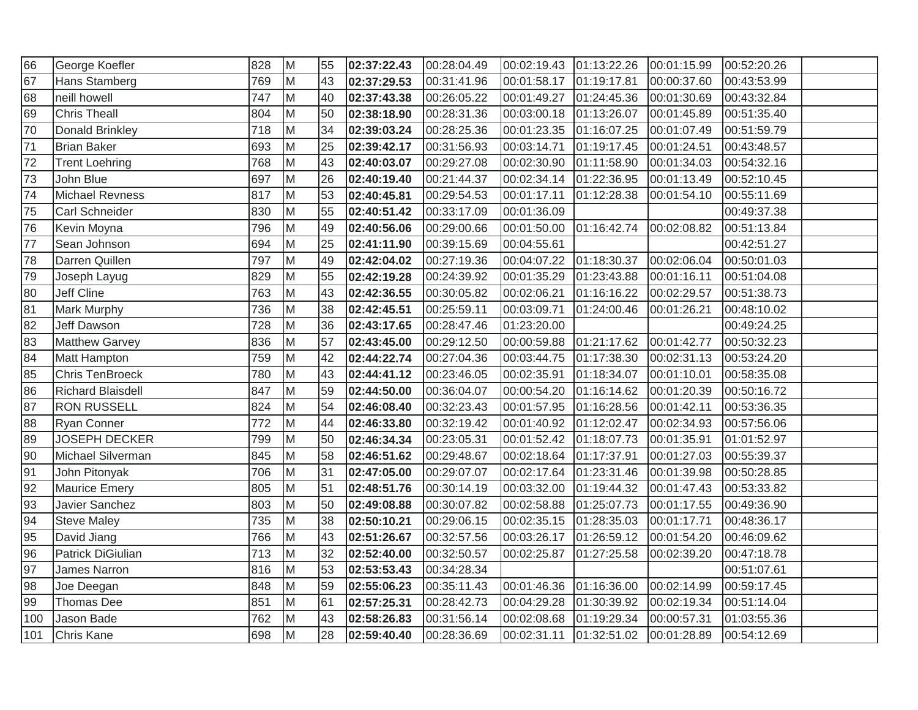| 66              | George Koefler           | 828 | M  | 55 | 02:37:22.43 | 00:28:04.49 | 00:02:19.43  01:13:22.26 |             | 00:01:15.99 | 00:52:20.26 |  |
|-----------------|--------------------------|-----|----|----|-------------|-------------|--------------------------|-------------|-------------|-------------|--|
| 67              | Hans Stamberg            | 769 | M  | 43 | 02:37:29.53 | 00:31:41.96 | 00:01:58.17  01:19:17.81 |             | 00:00:37.60 | 00:43:53.99 |  |
| 68              | neill howell             | 747 | M  | 40 | 02:37:43.38 | 00:26:05.22 | 00:01:49.27  01:24:45.36 |             | 00:01:30.69 | 00:43:32.84 |  |
| 69              | <b>Chris Theall</b>      | 804 | M  | 50 | 02:38:18.90 | 00:28:31.36 | 00:03:00.18  01:13:26.07 |             | 00:01:45.89 | 00:51:35.40 |  |
| $\overline{70}$ | Donald Brinkley          | 718 | M  | 34 | 02:39:03.24 | 00:28:25.36 | 00:01:23.35  01:16:07.25 |             | 00:01:07.49 | 00:51:59.79 |  |
| $\overline{71}$ | <b>Brian Baker</b>       | 693 | M  | 25 | 02:39:42.17 | 00:31:56.93 | 00:03:14.71              | 01:19:17.45 | 00:01:24.51 | 00:43:48.57 |  |
| 72              | <b>Trent Loehring</b>    | 768 | M  | 43 | 02:40:03.07 | 00:29:27.08 | 00:02:30.90 01:11:58.90  |             | 00:01:34.03 | 00:54:32.16 |  |
| 73              | John Blue                | 697 | M  | 26 | 02:40:19.40 | 00:21:44.37 | 00:02:34.14 01:22:36.95  |             | 00:01:13.49 | 00:52:10.45 |  |
| $\overline{74}$ | <b>Michael Revness</b>   | 817 | M  | 53 | 02:40:45.81 | 00:29:54.53 | 00:01:17.11              | 01:12:28.38 | 00:01:54.10 | 00:55:11.69 |  |
| 75              | Carl Schneider           | 830 | M  | 55 | 02:40:51.42 | 00:33:17.09 | 00:01:36.09              |             |             | 00:49:37.38 |  |
| 76              | Kevin Moyna              | 796 | M  | 49 | 02:40:56.06 | 00:29:00.66 | 00:01:50.00  01:16:42.74 |             | 00:02:08.82 | 00:51:13.84 |  |
| $\overline{77}$ | Sean Johnson             | 694 | M  | 25 | 02:41:11.90 | 00:39:15.69 | 00:04:55.61              |             |             | 00:42:51.27 |  |
| 78              | Darren Quillen           | 797 | Iм | 49 | 02:42:04.02 | 00:27:19.36 | 00:04:07.22              | 01:18:30.37 | 00:02:06.04 | 00:50:01.03 |  |
| 79              | Joseph Layug             | 829 | Iм | 55 | 02:42:19.28 | 00:24:39.92 | 00:01:35.29              | 01:23:43.88 | 00:01:16.11 | 00:51:04.08 |  |
| 80              | Jeff Cline               | 763 | M  | 43 | 02:42:36.55 | 00:30:05.82 | 00:02:06.21              | 01:16:16.22 | 00:02:29.57 | 00:51:38.73 |  |
| 81              | Mark Murphy              | 736 | M  | 38 | 02:42:45.51 | 00:25:59.11 | 00:03:09.71              | 01:24:00.46 | 00:01:26.21 | 00:48:10.02 |  |
| 82              | Jeff Dawson              | 728 | M  | 36 | 02:43:17.65 | 00:28:47.46 | 01:23:20.00              |             |             | 00:49:24.25 |  |
| 83              | <b>Matthew Garvey</b>    | 836 | M  | 57 | 02:43:45.00 | 00:29:12.50 | 00:00:59.88              | 01:21:17.62 | 00:01:42.77 | 00:50:32.23 |  |
| 84              | Matt Hampton             | 759 | M  | 42 | 02:44:22.74 | 00:27:04.36 | 00:03:44.75              | 01:17:38.30 | 00:02:31.13 | 00:53:24.20 |  |
| 85              | <b>Chris TenBroeck</b>   | 780 | M  | 43 | 02:44:41.12 | 00:23:46.05 | 00:02:35.91              | 01:18:34.07 | 00:01:10.01 | 00:58:35.08 |  |
| 86              | <b>Richard Blaisdell</b> | 847 | M  | 59 | 02:44:50.00 | 00:36:04.07 | 00:00:54.20              | 01:16:14.62 | 00:01:20.39 | 00:50:16.72 |  |
| 87              | <b>RON RUSSELL</b>       | 824 | M  | 54 | 02:46:08.40 | 00:32:23.43 | 00:01:57.95 01:16:28.56  |             | 00:01:42.11 | 00:53:36.35 |  |
| 88              | <b>Ryan Conner</b>       | 772 | M  | 44 | 02:46:33.80 | 00:32:19.42 | 00:01:40.92 01:12:02.47  |             | 00:02:34.93 | 00:57:56.06 |  |
| 89              | <b>JOSEPH DECKER</b>     | 799 | M  | 50 | 02:46:34.34 | 00:23:05.31 | 00:01:52.42  01:18:07.73 |             | 00:01:35.91 | 01:01:52.97 |  |
| 90              | Michael Silverman        | 845 | M  | 58 | 02:46:51.62 | 00:29:48.67 | 00:02:18.64  01:17:37.91 |             | 00:01:27.03 | 00:55:39.37 |  |
| 91              | John Pitonyak            | 706 | M  | 31 | 02:47:05.00 | 00:29:07.07 | 00:02:17.64  01:23:31.46 |             | 00:01:39.98 | 00:50:28.85 |  |
| 92              | Maurice Emery            | 805 | M  | 51 | 02:48:51.76 | 00:30:14.19 | 00:03:32.00  01:19:44.32 |             | 00:01:47.43 | 00:53:33.82 |  |
| 93              | Javier Sanchez           | 803 | M  | 50 | 02:49:08.88 | 00:30:07.82 | 00:02:58.88              | 01:25:07.73 | 00:01:17.55 | 00:49:36.90 |  |
| 94              | <b>Steve Maley</b>       | 735 | M  | 38 | 02:50:10.21 | 00:29:06.15 | 00:02:35.15              | 01:28:35.03 | 00:01:17.71 | 00:48:36.17 |  |
| 95              | David Jiang              | 766 | M  | 43 | 02:51:26.67 | 00:32:57.56 | 00:03:26.17              | 01:26:59.12 | 00:01:54.20 | 00:46:09.62 |  |
| 96              | Patrick DiGiulian        | 713 | M  | 32 | 02:52:40.00 | 00:32:50.57 | 00:02:25.87              | 01:27:25.58 | 00:02:39.20 | 00:47:18.78 |  |
| 97              | James Narron             | 816 | M  | 53 | 02:53:53.43 | 00:34:28.34 |                          |             |             | 00:51:07.61 |  |
| 98              | Joe Deegan               | 848 | M  | 59 | 02:55:06.23 | 00:35:11.43 | 00:01:46.36  01:16:36.00 |             | 00:02:14.99 | 00:59:17.45 |  |
| 99              | Thomas Dee               | 851 | M  | 61 | 02:57:25.31 | 00:28:42.73 | 00:04:29.28  01:30:39.92 |             | 00:02:19.34 | 00:51:14.04 |  |
| $\sqrt{100}$    | Jason Bade               | 762 | M  | 43 | 02:58:26.83 | 00:31:56.14 | 00:02:08.68              | 01:19:29.34 | 00:00:57.31 | 01:03:55.36 |  |
| 101             | Chris Kane               | 698 | M  | 28 | 02:59:40.40 | 00:28:36.69 | 00:02:31.11              | 01:32:51.02 | 00:01:28.89 | 00:54:12.69 |  |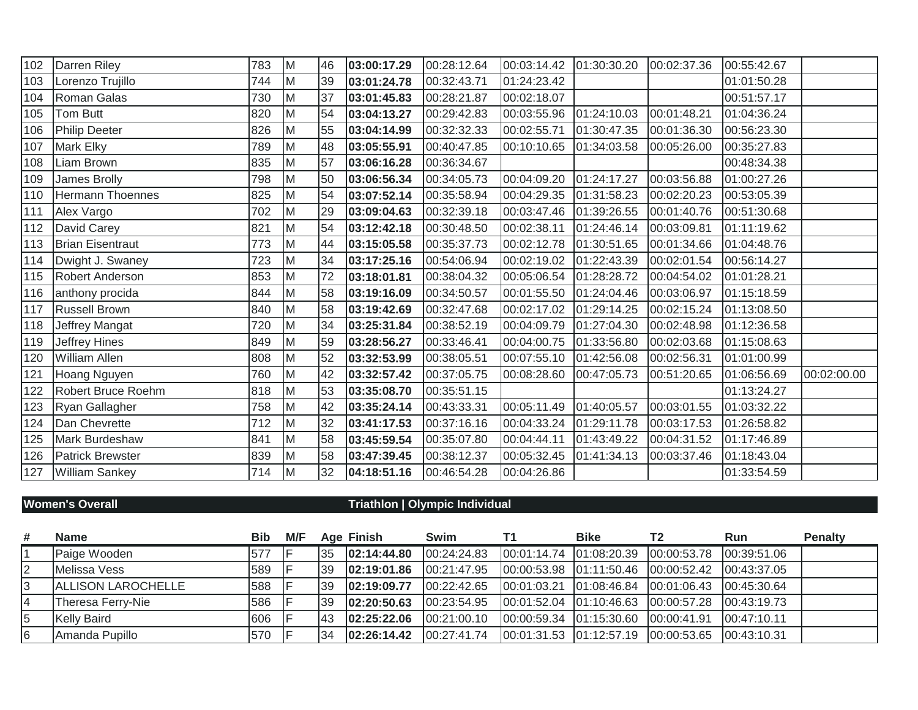| 102 | Darren Riley            | 783 | M | 46 | 03:00:17.29 | 00:28:12.64 | 00:03:14.42 01:30:30.20  |             | 00:02:37.36 | 00:55:42.67 |             |
|-----|-------------------------|-----|---|----|-------------|-------------|--------------------------|-------------|-------------|-------------|-------------|
| 103 | Lorenzo Trujillo        | 744 | M | 39 | 03:01:24.78 | 00:32:43.71 | 01:24:23.42              |             |             | 01:01:50.28 |             |
| 104 | Roman Galas             | 730 | M | 37 | 03:01:45.83 | 00:28:21.87 | 00:02:18.07              |             |             | 00:51:57.17 |             |
| 105 | Tom Butt                | 820 | M | 54 | 03:04:13.27 | 00:29:42.83 | 00:03:55.96              | 01:24:10.03 | 00:01:48.21 | 01:04:36.24 |             |
| 106 | <b>Philip Deeter</b>    | 826 | M | 55 | 03:04:14.99 | 00:32:32.33 | 00:02:55.71              | 01:30:47.35 | 00:01:36.30 | 00:56:23.30 |             |
| 107 | Mark Elky               | 789 | M | 48 | 03:05:55.91 | 00:40:47.85 | 00:10:10.65              | 01:34:03.58 | 00:05:26.00 | 00:35:27.83 |             |
| 108 | Liam Brown              | 835 | M | 57 | 03:06:16.28 | 00:36:34.67 |                          |             |             | 00:48:34.38 |             |
| 109 | James Brolly            | 798 | M | 50 | 03:06:56.34 | 00:34:05.73 | 00:04:09.20              | 01:24:17.27 | 00:03:56.88 | 01:00:27.26 |             |
| 110 | Hermann Thoennes        | 825 | M | 54 | 03:07:52.14 | 00:35:58.94 | 00:04:29.35              | 01:31:58.23 | 00:02:20.23 | 00:53:05.39 |             |
| 111 | Alex Vargo              | 702 | M | 29 | 03:09:04.63 | 00:32:39.18 | 00:03:47.46  01:39:26.55 |             | 00:01:40.76 | 00:51:30.68 |             |
| 112 | David Carey             | 821 | M | 54 | 03:12:42.18 | 00:30:48.50 | 00:02:38.11              | 01:24:46.14 | 00:03:09.81 | 01:11:19.62 |             |
| 113 | <b>Brian Eisentraut</b> | 773 | M | 44 | 03:15:05.58 | 00:35:37.73 | 00:02:12.78              | 01:30:51.65 | 00:01:34.66 | 01:04:48.76 |             |
| 114 | Dwight J. Swaney        | 723 | M | 34 | 03:17:25.16 | 00:54:06.94 | 00:02:19.02              | 01:22:43.39 | 00:02:01.54 | 00:56:14.27 |             |
| 115 | Robert Anderson         | 853 | M | 72 | 03:18:01.81 | 00:38:04.32 | 00:05:06.54              | 01:28:28.72 | 00:04:54.02 | 01:01:28.21 |             |
| 116 | anthony procida         | 844 | M | 58 | 03:19:16.09 | 00:34:50.57 | 00:01:55.50              | 01:24:04.46 | 00:03:06.97 | 01:15:18.59 |             |
| 117 | <b>Russell Brown</b>    | 840 | M | 58 | 03:19:42.69 | 00:32:47.68 | 00:02:17.02              | 01:29:14.25 | 00:02:15.24 | 01:13:08.50 |             |
| 118 | Jeffrey Mangat          | 720 | M | 34 | 03:25:31.84 | 00:38:52.19 | 00:04:09.79              | 01:27:04.30 | 00:02:48.98 | 01:12:36.58 |             |
| 119 | Jeffrey Hines           | 849 | M | 59 | 03:28:56.27 | 00:33:46.41 | 00:04:00.75              | 01:33:56.80 | 00:02:03.68 | 01:15:08.63 |             |
| 120 | <b>William Allen</b>    | 808 | M | 52 | 03:32:53.99 | 00:38:05.51 | 00:07:55.10              | 01:42:56.08 | 00:02:56.31 | 01:01:00.99 |             |
| 121 | Hoang Nguyen            | 760 | M | 42 | 03:32:57.42 | 00:37:05.75 | 00:08:28.60              | 00:47:05.73 | 00:51:20.65 | 01:06:56.69 | 00:02:00.00 |
| 122 | Robert Bruce Roehm      | 818 | M | 53 | 03:35:08.70 | 00:35:51.15 |                          |             |             | 01:13:24.27 |             |
| 123 | Ryan Gallagher          | 758 | M | 42 | 03:35:24.14 | 00:43:33.31 | 00:05:11.49              | 01:40:05.57 | 00:03:01.55 | 01:03:32.22 |             |
| 124 | Dan Chevrette           | 712 | M | 32 | 03:41:17.53 | 00:37:16.16 | 00:04:33.24              | 01:29:11.78 | 00:03:17.53 | 01:26:58.82 |             |
| 125 | Mark Burdeshaw          | 841 | M | 58 | 03:45:59.54 | 00:35:07.80 | 00:04:44.11              | 01:43:49.22 | 00:04:31.52 | 01:17:46.89 |             |
| 126 | <b>Patrick Brewster</b> | 839 | M | 58 | 03:47:39.45 | 00:38:12.37 | 00:05:32.45              | 01:41:34.13 | 00:03:37.46 | 01:18:43.04 |             |
| 127 | <b>William Sankey</b>   | 714 | M | 32 | 04:18:51.16 | 00:46:54.28 | 00:04:26.86              |             |             | 01:33:54.59 |             |

## **Women's Overall Triathlon | Olympic Individual**

| #  | <b>Name</b>        | <b>Bib</b> | M/F |     | <b>Age Finish</b> | Swim        | <b>Bike</b>                                                        | T <sub>2</sub> | Run | <b>Penalty</b> |
|----|--------------------|------------|-----|-----|-------------------|-------------|--------------------------------------------------------------------|----------------|-----|----------------|
|    | Paige Wooden       | 577        |     | 35  | 02:14:44.80       | 00:24:24.83 | $ 00:01:14.74$ $ 01:08:20.39$ $ 00:00:53.78$ $ 00:39:51.06$        |                |     |                |
| 2  | Melissa Vess       | 589        |     | 39  | 02:19:01.86       | 00:21:47.95 | $[00:00:53.98 \mid 01:11:50.46 \mid 00:00:52.42 \mid 00:43:37.05]$ |                |     |                |
| 3  | ALLISON LAROCHELLE | 588        |     | 39  | 02:19:09.77       | 00:22:42.65 | $[00:01:03.21 \mid 01:08:46.84 \mid 00:01:06.43 \mid 00:45:30.64]$ |                |     |                |
|    | Theresa Ferry-Nie  | 586        |     | 139 | 02:20:50.63       | 00:23:54.95 | $[00:01:52.04 \mid 01:10:46.63 \mid 00:00:57.28 \mid 00:43:19.73]$ |                |     |                |
| 5  | <b>Kelly Baird</b> | 606        |     | 43  | 02:25:22.06       | 00:21:00.10 | $[00:00:59.34 \mid 01:15:30.60 \mid 00:00:41.91 \mid 00:47:10.11]$ |                |     |                |
| 16 | Amanda Pupillo     | 570        |     | 34  | 02:26:14.42       | 00:27:41.74 | 00:01:31.53  01:12:57.19  00:00:53.65  00:43:10.31                 |                |     |                |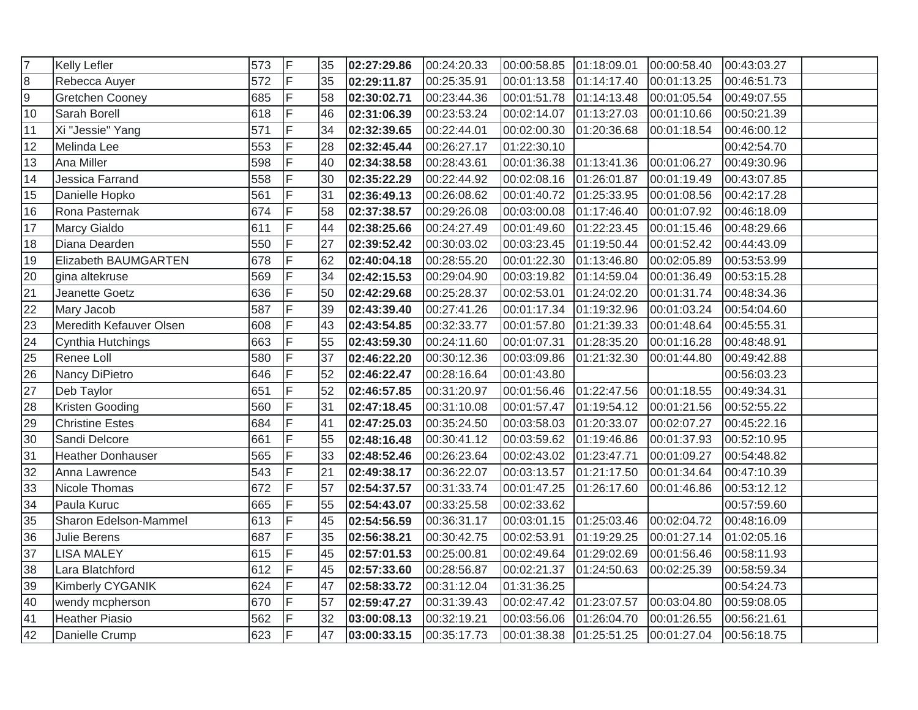| 7               | <b>Kelly Lefler</b>      | 573 | IF. | 35 | 02:27:29.86 | 00:24:20.33 | 00:00:58.85 01:18:09.01  |             | 00:00:58.40 | 00:43:03.27 |  |
|-----------------|--------------------------|-----|-----|----|-------------|-------------|--------------------------|-------------|-------------|-------------|--|
| $\frac{8}{9}$   | Rebecca Auyer            | 572 | lF. | 35 | 02:29:11.87 | 00:25:35.91 | 00:01:13.58  01:14:17.40 |             | 00:01:13.25 | 00:46:51.73 |  |
|                 | Gretchen Cooney          | 685 | IF. | 58 | 02:30:02.71 | 00:23:44.36 | 00:01:51.78  01:14:13.48 |             | 00:01:05.54 | 00:49:07.55 |  |
| $\overline{10}$ | Sarah Borell             | 618 | F   | 46 | 02:31:06.39 | 00:23:53.24 | 00:02:14.07  01:13:27.03 |             | 00:01:10.66 | 00:50:21.39 |  |
| 11              | Xi "Jessie" Yang         | 571 | F   | 34 | 02:32:39.65 | 00:22:44.01 | 00:02:00.30              | 01:20:36.68 | 00:01:18.54 | 00:46:00.12 |  |
| 12              | Melinda Lee              | 553 | F   | 28 | 02:32:45.44 | 00:26:27.17 | 01:22:30.10              |             |             | 00:42:54.70 |  |
| 13              | Ana Miller               | 598 | F   | 40 | 02:34:38.58 | 00:28:43.61 | 00:01:36.38  01:13:41.36 |             | 00:01:06.27 | 00:49:30.96 |  |
| $\overline{14}$ | Jessica Farrand          | 558 | lF. | 30 | 02:35:22.29 | 00:22:44.92 | 00:02:08.16  01:26:01.87 |             | 00:01:19.49 | 00:43:07.85 |  |
| 15              | Danielle Hopko           | 561 | F   | 31 | 02:36:49.13 | 00:26:08.62 | 00:01:40.72  01:25:33.95 |             | 00:01:08.56 | 00:42:17.28 |  |
| 16              | Rona Pasternak           | 674 | F   | 58 | 02:37:38.57 | 00:29:26.08 | 00:03:00.08  01:17:46.40 |             | 00:01:07.92 | 00:46:18.09 |  |
| 17              | Marcy Gialdo             | 611 | lF. | 44 | 02:38:25.66 | 00:24:27.49 | 00:01:49.60 01:22:23.45  |             | 00:01:15.46 | 00:48:29.66 |  |
| 18              | Diana Dearden            | 550 | ΙF  | 27 | 02:39:52.42 | 00:30:03.02 | 00:03:23.45              | 01:19:50.44 | 00:01:52.42 | 00:44:43.09 |  |
| 19              | Elizabeth BAUMGARTEN     | 678 | ΙF  | 62 | 02:40:04.18 | 00:28:55.20 | 00:01:22.30              | 01:13:46.80 | 00:02:05.89 | 00:53:53.99 |  |
| $\overline{20}$ | gina altekruse           | 569 | lF. | 34 | 02:42:15.53 | 00:29:04.90 | 00:03:19.82  01:14:59.04 |             | 00:01:36.49 | 00:53:15.28 |  |
| $\overline{21}$ | Jeanette Goetz           | 636 | lF  | 50 | 02:42:29.68 | 00:25:28.37 | 00:02:53.01              | 01:24:02.20 | 00:01:31.74 | 00:48:34.36 |  |
| 22              | Mary Jacob               | 587 | F   | 39 | 02:43:39.40 | 00:27:41.26 | 00:01:17.34              | 01:19:32.96 | 00:01:03.24 | 00:54:04.60 |  |
| 23              | Meredith Kefauver Olsen  | 608 | F   | 43 | 02:43:54.85 | 00:32:33.77 | 00:01:57.80              | 01:21:39.33 | 00:01:48.64 | 00:45:55.31 |  |
| $\overline{24}$ | Cynthia Hutchings        | 663 |     | 55 | 02:43:59.30 | 00:24:11.60 | 00:01:07.31              | 01:28:35.20 | 00:01:16.28 | 00:48:48.91 |  |
| $\overline{25}$ | Renee Loll               | 580 | F   | 37 | 02:46:22.20 | 00:30:12.36 | 00:03:09.86              | 01:21:32.30 | 00:01:44.80 | 00:49:42.88 |  |
| $\overline{26}$ | Nancy DiPietro           | 646 | F   | 52 | 02:46:22.47 | 00:28:16.64 | 00:01:43.80              |             |             | 00:56:03.23 |  |
| $\overline{27}$ | Deb Taylor               | 651 | lF. | 52 | 02:46:57.85 | 00:31:20.97 | 00:01:56.46  01:22:47.56 |             | 00:01:18.55 | 00:49:34.31 |  |
| 28              | Kristen Gooding          | 560 | lF. | 31 | 02:47:18.45 | 00:31:10.08 | 00:01:57.47  01:19:54.12 |             | 00:01:21.56 | 00:52:55.22 |  |
| 29              | <b>Christine Estes</b>   | 684 | F   | 41 | 02:47:25.03 | 00:35:24.50 | 00:03:58.03  01:20:33.07 |             | 00:02:07.27 | 00:45:22.16 |  |
| 30              | Sandi Delcore            | 661 | lF. | 55 | 02:48:16.48 | 00:30:41.12 | 00:03:59.62  01:19:46.86 |             | 00:01:37.93 | 00:52:10.95 |  |
| 31              | <b>Heather Donhauser</b> | 565 | İΕ  | 33 | 02:48:52.46 | 00:26:23.64 | 00:02:43.02  01:23:47.71 |             | 00:01:09.27 | 00:54:48.82 |  |
| 32              | Anna Lawrence            | 543 | lF  | 21 | 02:49:38.17 | 00:36:22.07 | 00:03:13.57              | 01:21:17.50 | 00:01:34.64 | 00:47:10.39 |  |
| 33              | Nicole Thomas            | 672 | IF. | 57 | 02:54:37.57 | 00:31:33.74 | 00:01:47.25              | 01:26:17.60 | 00:01:46.86 | 00:53:12.12 |  |
| 34              | Paula Kuruc              | 665 | IF. | 55 | 02:54:43.07 | 00:33:25.58 | 00:02:33.62              |             |             | 00:57:59.60 |  |
| 35              | Sharon Edelson-Mammel    | 613 | F   | 45 | 02:54:56.59 | 00:36:31.17 | 00:03:01.15  01:25:03.46 |             | 00:02:04.72 | 00:48:16.09 |  |
| 36              | Julie Berens             | 687 | IF. | 35 | 02:56:38.21 | 00:30:42.75 | 00:02:53.91              | 01:19:29.25 | 00:01:27.14 | 01:02:05.16 |  |
| 37              | <b>LISA MALEY</b>        | 615 | ΙF  | 45 | 02:57:01.53 | 00:25:00.81 | 00:02:49.64              | 01:29:02.69 | 00:01:56.46 | 00:58:11.93 |  |
| 38              | Lara Blatchford          | 612 | F   | 45 | 02:57:33.60 | 00:28:56.87 | 00:02:21.37              | 01:24:50.63 | 00:02:25.39 | 00:58:59.34 |  |
| 39              | Kimberly CYGANIK         | 624 | F   | 47 | 02:58:33.72 | 00:31:12.04 | 01:31:36.25              |             |             | 00:54:24.73 |  |
| 40              | wendy mcpherson          | 670 | lF. | 57 | 02:59:47.27 | 00:31:39.43 | 00:02:47.42  01:23:07.57 |             | 00:03:04.80 | 00:59:08.05 |  |
| 41              | <b>Heather Piasio</b>    | 562 | lF. | 32 | 03:00:08.13 | 00:32:19.21 | 00:03:56.06              | 01:26:04.70 | 00:01:26.55 | 00:56:21.61 |  |
| $\overline{42}$ | Danielle Crump           | 623 | ΙF  | 47 | 03:00:33.15 | 00:35:17.73 | 00:01:38.38 01:25:51.25  |             | 00:01:27.04 | 00:56:18.75 |  |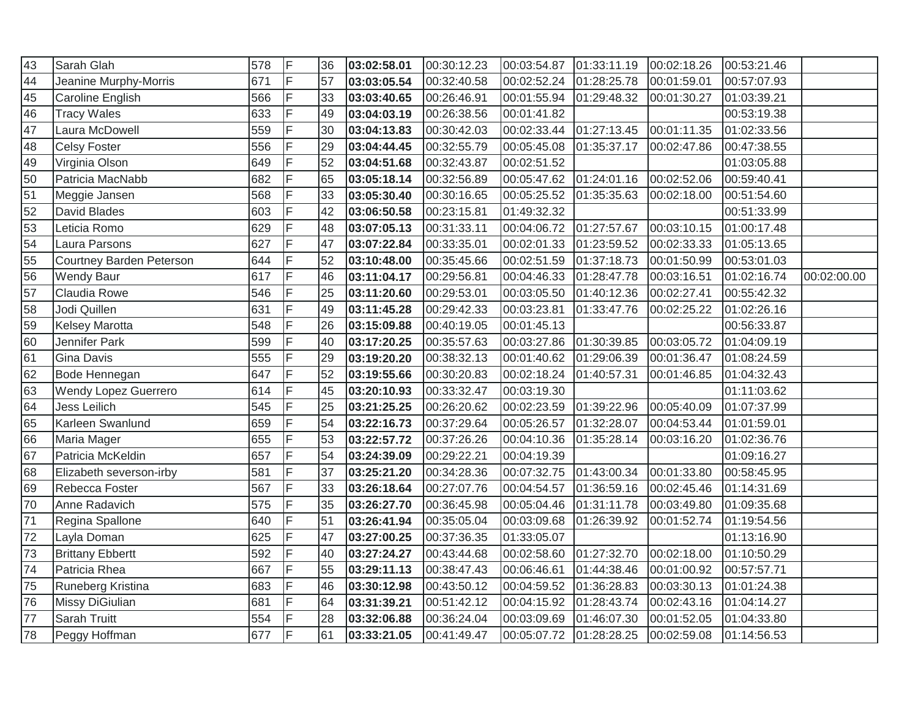| 43 | Sarah Glah               | 578 | F  | 36 | 03:02:58.01 | 00:30:12.23 | 00:03:54.87 | 01:33:11.19 | 00:02:18.26 | 00:53:21.46 |             |
|----|--------------------------|-----|----|----|-------------|-------------|-------------|-------------|-------------|-------------|-------------|
| 44 | Jeanine Murphy-Morris    | 671 | F  | 57 | 03:03:05.54 | 00:32:40.58 | 00:02:52.24 | 01:28:25.78 | 00:01:59.01 | 00:57:07.93 |             |
| 45 | Caroline English         | 566 | F  | 33 | 03:03:40.65 | 00:26:46.91 | 00:01:55.94 | 01:29:48.32 | 00:01:30.27 | 01:03:39.21 |             |
| 46 | <b>Tracy Wales</b>       | 633 | F  | 49 | 03:04:03.19 | 00:26:38.56 | 00:01:41.82 |             |             | 00:53:19.38 |             |
| 47 | Laura McDowell           | 559 | F  | 30 | 03:04:13.83 | 00:30:42.03 | 00:02:33.44 | 01:27:13.45 | 00:01:11.35 | 01:02:33.56 |             |
| 48 | <b>Celsy Foster</b>      | 556 | F  | 29 | 03:04:44.45 | 00:32:55.79 | 00:05:45.08 | 01:35:37.17 | 00:02:47.86 | 00:47:38.55 |             |
| 49 | Virginia Olson           | 649 | F. | 52 | 03:04:51.68 | 00:32:43.87 | 00:02:51.52 |             |             | 01:03:05.88 |             |
| 50 | Patricia MacNabb         | 682 | F  | 65 | 03:05:18.14 | 00:32:56.89 | 00:05:47.62 | 01:24:01.16 | 00:02:52.06 | 00:59:40.41 |             |
| 51 | Meggie Jansen            | 568 | F  | 33 | 03:05:30.40 | 00:30:16.65 | 00:05:25.52 | 01:35:35.63 | 00:02:18.00 | 00:51:54.60 |             |
| 52 | David Blades             | 603 | F  | 42 | 03:06:50.58 | 00:23:15.81 | 01:49:32.32 |             |             | 00:51:33.99 |             |
| 53 | Leticia Romo             | 629 | F  | 48 | 03:07:05.13 | 00:31:33.11 | 00:04:06.72 | 01:27:57.67 | 00:03:10.15 | 01:00:17.48 |             |
| 54 | Laura Parsons            | 627 | F  | 47 | 03:07:22.84 | 00:33:35.01 | 00:02:01.33 | 01:23:59.52 | 00:02:33.33 | 01:05:13.65 |             |
| 55 | Courtney Barden Peterson | 644 | F  | 52 | 03:10:48.00 | 00:35:45.66 | 00:02:51.59 | 01:37:18.73 | 00:01:50.99 | 00:53:01.03 |             |
| 56 | <b>Wendy Baur</b>        | 617 | F  | 46 | 03:11:04.17 | 00:29:56.81 | 00:04:46.33 | 01:28:47.78 | 00:03:16.51 | 01:02:16.74 | 00:02:00.00 |
| 57 | Claudia Rowe             | 546 | F  | 25 | 03:11:20.60 | 00:29:53.01 | 00:03:05.50 | 01:40:12.36 | 00:02:27.41 | 00:55:42.32 |             |
| 58 | Jodi Quillen             | 631 | F  | 49 | 03:11:45.28 | 00:29:42.33 | 00:03:23.81 | 01:33:47.76 | 00:02:25.22 | 01:02:26.16 |             |
| 59 | Kelsey Marotta           | 548 | F  | 26 | 03:15:09.88 | 00:40:19.05 | 00:01:45.13 |             |             | 00:56:33.87 |             |
| 60 | Jennifer Park            | 599 | F  | 40 | 03:17:20.25 | 00:35:57.63 | 00:03:27.86 | 01:30:39.85 | 00:03:05.72 | 01:04:09.19 |             |
| 61 | <b>Gina Davis</b>        | 555 |    | 29 | 03:19:20.20 | 00:38:32.13 | 00:01:40.62 | 01:29:06.39 | 00:01:36.47 | 01:08:24.59 |             |
| 62 | Bode Hennegan            | 647 | F. | 52 | 03:19:55.66 | 00:30:20.83 | 00:02:18.24 | 01:40:57.31 | 00:01:46.85 | 01:04:32.43 |             |
| 63 | Wendy Lopez Guerrero     | 614 | F. | 45 | 03:20:10.93 | 00:33:32.47 | 00:03:19.30 |             |             | 01:11:03.62 |             |
| 64 | Jess Leilich             | 545 | F  | 25 | 03:21:25.25 | 00:26:20.62 | 00:02:23.59 | 01:39:22.96 | 00:05:40.09 | 01:07:37.99 |             |
| 65 | Karleen Swanlund         | 659 | F  | 54 | 03:22:16.73 | 00:37:29.64 | 00:05:26.57 | 01:32:28.07 | 00:04:53.44 | 01:01:59.01 |             |
| 66 | Maria Mager              | 655 | F  | 53 | 03:22:57.72 | 00:37:26.26 | 00:04:10.36 | 01:35:28.14 | 00:03:16.20 | 01:02:36.76 |             |
| 67 | Patricia McKeldin        | 657 | F  | 54 | 03:24:39.09 | 00:29:22.21 | 00:04:19.39 |             |             | 01:09:16.27 |             |
| 68 | Elizabeth severson-irby  | 581 | F  | 37 | 03:25:21.20 | 00:34:28.36 | 00:07:32.75 | 01:43:00.34 | 00:01:33.80 | 00:58:45.95 |             |
| 69 | Rebecca Foster           | 567 | F  | 33 | 03:26:18.64 | 00:27:07.76 | 00:04:54.57 | 01:36:59.16 | 00:02:45.46 | 01:14:31.69 |             |
| 70 | Anne Radavich            | 575 | F  | 35 | 03:26:27.70 | 00:36:45.98 | 00:05:04.46 | 01:31:11.78 | 00:03:49.80 | 01:09:35.68 |             |
| 71 | Regina Spallone          | 640 | F  | 51 | 03:26:41.94 | 00:35:05.04 | 00:03:09.68 | 01:26:39.92 | 00:01:52.74 | 01:19:54.56 |             |
| 72 | Layla Doman              | 625 | F  | 47 | 03:27:00.25 | 00:37:36.35 | 01:33:05.07 |             |             | 01:13:16.90 |             |
| 73 | <b>Brittany Ebbertt</b>  | 592 | F  | 40 | 03:27:24.27 | 00:43:44.68 | 00:02:58.60 | 01:27:32.70 | 00:02:18.00 | 01:10:50.29 |             |
| 74 | Patricia Rhea            | 667 | F  | 55 | 03:29:11.13 | 00:38:47.43 | 00:06:46.61 | 01:44:38.46 | 00:01:00.92 | 00:57:57.71 |             |
| 75 | Runeberg Kristina        | 683 | F  | 46 | 03:30:12.98 | 00:43:50.12 | 00:04:59.52 | 01:36:28.83 | 00:03:30.13 | 01:01:24.38 |             |
| 76 | Missy DiGiulian          | 681 | F. | 64 | 03:31:39.21 | 00:51:42.12 | 00:04:15.92 | 01:28:43.74 | 00:02:43.16 | 01:04:14.27 |             |
| 77 | Sarah Truitt             | 554 | F  | 28 | 03:32:06.88 | 00:36:24.04 | 00:03:09.69 | 01:46:07.30 | 00:01:52.05 | 01:04:33.80 |             |
| 78 | Peggy Hoffman            | 677 | F  | 61 | 03:33:21.05 | 00:41:49.47 | 00:05:07.72 | 01:28:28.25 | 00:02:59.08 | 01:14:56.53 |             |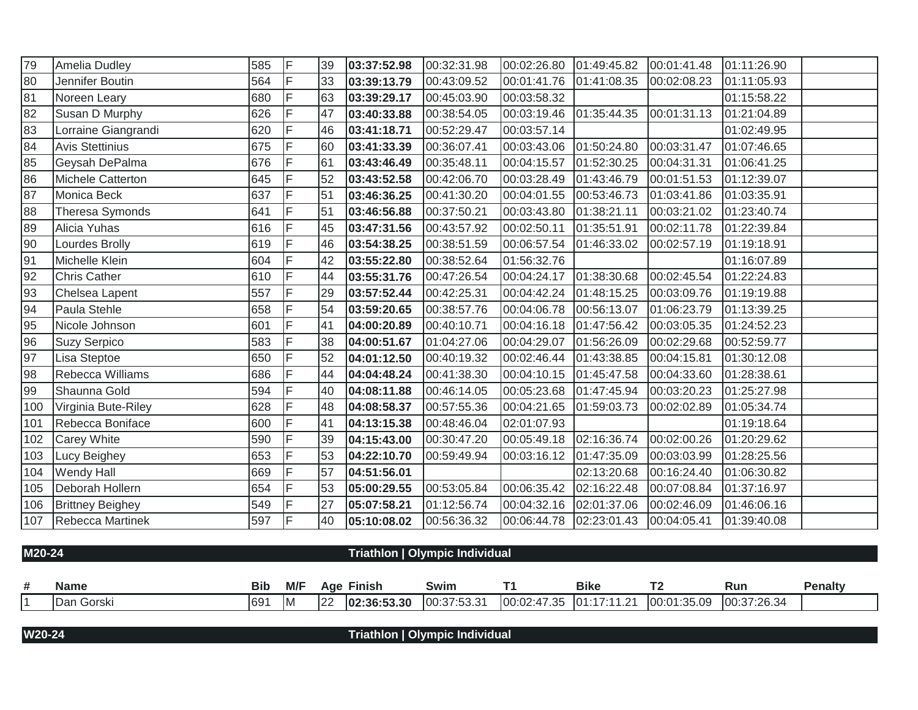| 79  | Amelia Dudley           | 585 | lF. | 39 | 03:37:52.98 | 00:32:31.98 | 00:02:26.80  01:49:45.82 |             | 00:01:41.48 | 01:11:26.90 |
|-----|-------------------------|-----|-----|----|-------------|-------------|--------------------------|-------------|-------------|-------------|
| 80  | Jennifer Boutin         | 564 | IF. | 33 | 03:39:13.79 | 00:43:09.52 | 00:01:41.76              | 01:41:08.35 | 00:02:08.23 | 01:11:05.93 |
| 81  | Noreen Leary            | 680 | IF  | 63 | 03:39:29.17 | 00:45:03.90 | 00:03:58.32              |             |             | 01:15:58.22 |
| 82  | Susan D Murphy          | 626 | F   | 47 | 03:40:33.88 | 00:38:54.05 | 00:03:19.46              | 01:35:44.35 | 00:01:31.13 | 01:21:04.89 |
| 83  | Lorraine Giangrandi     | 620 | IF. | 46 | 03:41:18.71 | 00:52:29.47 | 00:03:57.14              |             |             | 01:02:49.95 |
| 84  | <b>Avis Stettinius</b>  | 675 | F   | 60 | 03:41:33.39 | 00:36:07.41 | 00:03:43.06              | 01:50:24.80 | 00:03:31.47 | 01:07:46.65 |
| 85  | Geysah DePalma          | 676 | IF. | 61 | 03:43:46.49 | 00:35:48.11 | 00:04:15.57              | 01:52:30.25 | 00:04:31.31 | 01:06:41.25 |
| 86  | Michele Catterton       | 645 | F   | 52 | 03:43:52.58 | 00:42:06.70 | 00:03:28.49              | 01:43:46.79 | 00:01:51.53 | 01:12:39.07 |
| 87  | Monica Beck             | 637 | lF. | 51 | 03:46:36.25 | 00:41:30.20 | 00:04:01.55              | 00:53:46.73 | 01:03:41.86 | 01:03:35.91 |
| 88  | Theresa Symonds         | 641 | IF. | 51 | 03:46:56.88 | 00:37:50.21 | 00:03:43.80              | 01:38:21.11 | 00:03:21.02 | 01:23:40.74 |
| 89  | Alicia Yuhas            | 616 | IF. | 45 | 03:47:31.56 | 00:43:57.92 | 00:02:50.11              | 01:35:51.91 | 00:02:11.78 | 01:22:39.84 |
| 90  | Lourdes Brolly          | 619 | IF  | 46 | 03:54:38.25 | 00:38:51.59 | 00:06:57.54              | 01:46:33.02 | 00:02:57.19 | 01:19:18.91 |
| 91  | Michelle Klein          | 604 | F   | 42 | 03:55:22.80 | 00:38:52.64 | 01:56:32.76              |             |             | 01:16:07.89 |
| 92  | <b>Chris Cather</b>     | 610 | IF  | 44 | 03:55:31.76 | 00:47:26.54 | 00:04:24.17              | 01:38:30.68 | 00:02:45.54 | 01:22:24.83 |
| 93  | Chelsea Lapent          | 557 | F   | 29 | 03:57:52.44 | 00:42:25.31 | 00:04:42.24  01:48:15.25 |             | 00:03:09.76 | 01:19:19.88 |
| 94  | Paula Stehle            | 658 | F   | 54 | 03:59:20.65 | 00:38:57.76 | 00:04:06.78              | 00:56:13.07 | 01:06:23.79 | 01:13:39.25 |
| 95  | Nicole Johnson          | 601 | IF  | 41 | 04:00:20.89 | 00:40:10.71 | 00:04:16.18              | 01:47:56.42 | 00:03:05.35 | 01:24:52.23 |
| 96  | <b>Suzy Serpico</b>     | 583 | ΙF  | 38 | 04:00:51.67 | 01:04:27.06 | 00:04:29.07  01:56:26.09 |             | 00:02:29.68 | 00:52:59.77 |
| 97  | Lisa Steptoe            | 650 | IF  | 52 | 04:01:12.50 | 00:40:19.32 | 00:02:46.44              | 01:43:38.85 | 00:04:15.81 | 01:30:12.08 |
| 98  | Rebecca Williams        | 686 | F   | 44 | 04:04:48.24 | 00:41:38.30 | 00:04:10.15              | 01:45:47.58 | 00:04:33.60 | 01:28:38.61 |
| 99  | Shaunna Gold            | 594 | F   | 40 | 04:08:11.88 | 00:46:14.05 | 00:05:23.68              | 01:47:45.94 | 00:03:20.23 | 01:25:27.98 |
| 100 | Virginia Bute-Riley     | 628 | F   | 48 | 04:08:58.37 | 00:57:55.36 | 00:04:21.65              | 01:59:03.73 | 00:02:02.89 | 01:05:34.74 |
| 101 | Rebecca Boniface        | 600 | lF. | 41 | 04:13:15.38 | 00:48:46.04 | 02:01:07.93              |             |             | 01:19:18.64 |
| 102 | <b>Carey White</b>      | 590 | F   | 39 | 04:15:43.00 | 00:30:47.20 | 00:05:49.18              | 02:16:36.74 | 00:02:00.26 | 01:20:29.62 |
| 103 | Lucy Beighey            | 653 | IF  | 53 | 04:22:10.70 | 00:59:49.94 | 00:03:16.12              | 01:47:35.09 | 00:03:03.99 | 01:28:25.56 |
| 104 | <b>Wendy Hall</b>       | 669 | IF  | 57 | 04:51:56.01 |             |                          | 02:13:20.68 | 00:16:24.40 | 01:06:30.82 |
| 105 | Deborah Hollern         | 654 | F   | 53 | 05:00:29.55 | 00:53:05.84 | 00:06:35.42              | 02:16:22.48 | 00:07:08.84 | 01:37:16.97 |
| 106 | <b>Brittney Beighey</b> | 549 | F   | 27 | 05:07:58.21 | 01:12:56.74 | 00:04:32.16              | 02:01:37.06 | 00:02:46.09 | 01:46:06.16 |
| 107 | Rebecca Martinek        | 597 | lF  | 40 | 05:10:08.02 | 00:56:36.32 | 00:06:44.78              | 02:23:01.43 | 00:04:05.41 | 01:39:40.08 |

| M20-24     |            |           |    |                   | Triathlon   Olympic Individual |                                                             |     |                |
|------------|------------|-----------|----|-------------------|--------------------------------|-------------------------------------------------------------|-----|----------------|
|            |            |           |    |                   |                                |                                                             |     |                |
| Name       | <b>Bib</b> | M/F       |    | <b>Age Finish</b> | Swim                           | Bike                                                        | Run | <b>Penalty</b> |
| Dan Gorski | 691        | <b>IM</b> | 22 | 02:36:53.30       | 00:37:53.31                    | $ 00:02:47.35$ $ 01:17:11.21$ $ 00:01:35.09$ $ 00:37:26.34$ |     |                |
|            |            |           |    |                   |                                |                                                             |     |                |

**W20-24 Triathlon | Olympic Individual**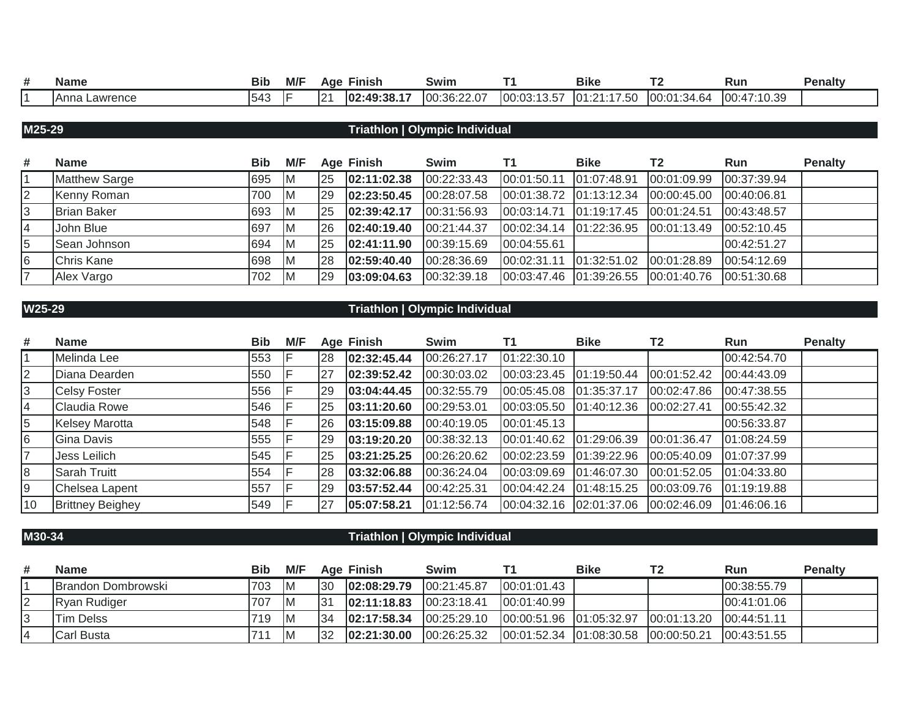| ш | <b>Name</b>      | <b>Bib</b> | M/F | Aae | Finish      | Swim        | $\overline{\phantom{a}}$ | <b>Bike</b>                   | . .         | Run                | Penaltv |
|---|------------------|------------|-----|-----|-------------|-------------|--------------------------|-------------------------------|-------------|--------------------|---------|
|   | Anna<br>Lawrence | 543        |     | 121 | 02:49:38.17 | 00:36:22.07 | 00:03:13.57<br>טוטו      | .47F<br>חו<br>ົດ 4 …<br>. . u | 00:01:34.64 | :47:10.39<br>100:4 |         |

## **M25-29 Triathlon | Olympic Individual**

| #  | <b>Name</b>          | <b>Bib</b> | M/F |           | <b>Age Finish</b> | Swim        |                         | <b>Bike</b>                                  | T <sub>2</sub>                                           | Run         | <b>Penalty</b> |
|----|----------------------|------------|-----|-----------|-------------------|-------------|-------------------------|----------------------------------------------|----------------------------------------------------------|-------------|----------------|
|    | <b>Matthew Sarge</b> | 695        | -IM | <b>25</b> | 02:11:02.38       | 00:22:33.43 | 00:01:50.11 01:07:48.91 |                                              | 00:01:09.99                                              | 00:37:39.94 |                |
| 2  | Kenny Roman          | 700        | ΙM  | <b>29</b> | 02:23:50.45       | 00:28:07.58 |                         | 00:01:38.72 01:13:12.34 00:00:45.00          |                                                          | 00:40:06.81 |                |
| 3  | <b>Brian Baker</b>   | 693        | ΙM  | <b>25</b> | 02:39:42.17       | 00:31:56.93 | 00:03:14.71 01:19:17.45 |                                              | 00:01:24.51                                              | 00:43:48.57 |                |
| 14 | John Blue            | 697        | ΙM  | <b>26</b> | 02:40:19.40       | 00:21:44.37 |                         | $ 00:02:34.14$ $ 01:22:36.95$ $ 00:01:13.49$ |                                                          | 00:52:10.45 |                |
| 5  | Sean Johnson         | 694        | IM. | <b>25</b> | 02:41:11.90       | 00:39:15.69 | 00:04:55.61             |                                              |                                                          | 00:42:51.27 |                |
| 6  | Chris Kane           | 698        | ΙM  | 28        | 02:59:40.40       | 00:28:36.69 | 00:02:31.11             | 01:32:51.02                                  | 00:01:28.89                                              | 00:54:12.69 |                |
| 17 | Alex Vargo           | 702        | ΙM  | 129       | 03:09:04.63       | 00:32:39.18 |                         |                                              | 00:03:47.46    01:39:26.55    00:01:40.76    00:51:30.68 |             |                |

### **W25-29 Triathlon | Olympic Individual**

| #  | <b>Name</b>             | Bib | M/F |    | <b>Age Finish</b> | Swim        | Τ1                       | <b>Bike</b> | T2                      | <b>Run</b>    | <b>Penalty</b> |
|----|-------------------------|-----|-----|----|-------------------|-------------|--------------------------|-------------|-------------------------|---------------|----------------|
|    | Melinda Lee             | 553 |     | 28 | 02:32:45.44       | 00:26:27.17 | 01:22:30.10              |             |                         | 00:42:54.70   |                |
|    | Diana Dearden           | 550 |     | 27 | 02:39:52.42       | 00:30:03.02 | 00:03:23.45              | 01:19:50.44 | 00:01:52.42             | 00:44:43.09   |                |
|    | <b>Celsy Foster</b>     | 556 |     | 29 | 03:04:44.45       | 00:32:55.79 | 00:05:45.08  01:35:37.17 |             | 00:02:47.86             | 00:47:38.55   |                |
|    | Claudia Rowe            | 546 |     | 25 | 03:11:20.60       | 00:29:53.01 | 00:03:05.50  01:40:12.36 |             | 00:02:27.41             | 00:55:42.32   |                |
|    | <b>Kelsey Marotta</b>   | 548 |     | 26 | 03:15:09.88       | 00:40:19.05 | 00:01:45.13              |             |                         | 00:56:33.87   |                |
| 6  | Gina Davis              | 555 |     | 29 | 03:19:20.20       | 00:38:32.13 | 00:01:40.62              | 01:29:06.39 | 00:01:36.47             | 01:08:24.59   |                |
|    | Jess Leilich            | 545 |     | 25 | 03:21:25.25       | 00:26:20.62 | 00:02:23.59              | 01:39:22.96 | 00:05:40.09             | 01:07:37.99   |                |
|    | Sarah Truitt            | 554 |     | 28 | 03:32:06.88       | 00:36:24.04 | 00:03:09.69              | 01:46:07.30 | 00:01:52.05             | 01:04:33.80   |                |
|    | Chelsea Lapent          | 557 |     | 29 | 03:57:52.44       | 00:42:25.31 | 00:04:42.24              | 01:48:15.25 | 00:03:09.76             | [01:19:19.88] |                |
| 10 | <b>Brittney Beighey</b> | 549 |     | 27 | 05:07:58.21       | 01:12:56.74 | 00.04:32.16 02.01:37.06  |             | 00:02:46.09 01:46:06.16 |               |                |

## **M30-34 Triathlon | Olympic Individual**

| # | <b>Name</b>                | <b>Bib</b> | M/F | Age             | Finish       | Swim         |              | <b>Bike</b> | Run          | <b>Penalty</b> |
|---|----------------------------|------------|-----|-----------------|--------------|--------------|--------------|-------------|--------------|----------------|
|   | <b>IBrandon Dombrowski</b> | 703        | ΙM  | 30              | 02:08:29.79  | 00:21:45.87  | 100:01:01.43 |             | 00:38:55.79  |                |
|   | Ryan Rudiger               | 707        | ΙM  | $\overline{31}$ | 02:11:18.83  | 100:23:18.41 | 100:01:40.99 |             | 100:41:01.06 |                |
|   | <b>Tim Delss</b>           | 719        | ΙM  | 34              | 102:17:58.34 | 100:25:29.10 |              |             | 100:44:51.11 |                |
|   | <b>Carl Busta</b>          |            | ΙM  | 132             | 02:21:30.00  | 00:26:25.32  |              |             | 00:43:51.55  |                |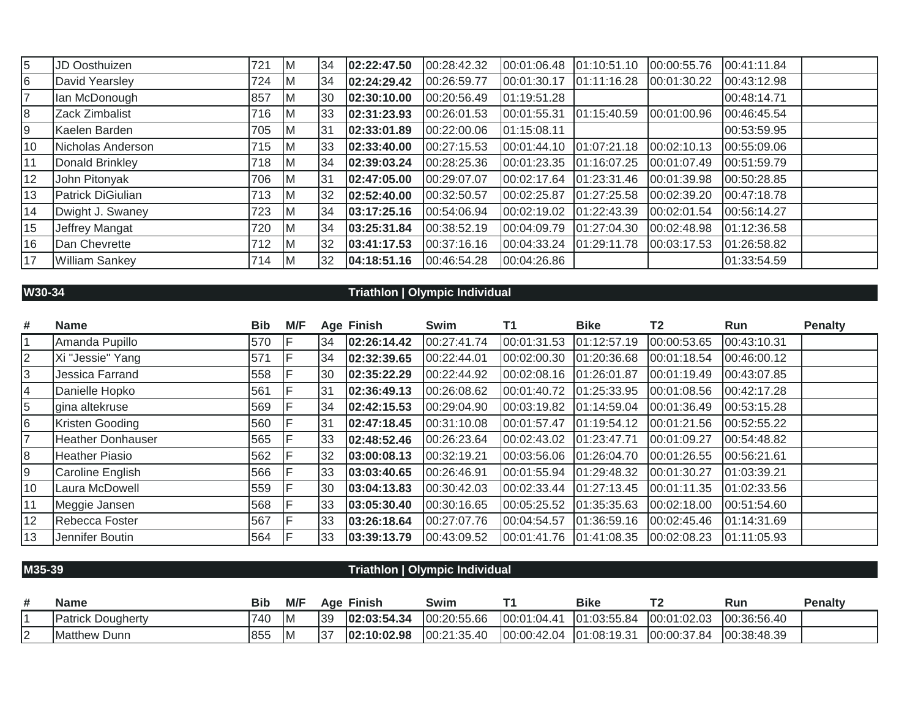| $\overline{5}$ | JD Oosthuizen         | 721 | ΙM  | 34  | 02:22:47.50 | 00:28:42.32 | 00:01:06.48 | 01:10:51.10 | 00:00:55.76 | 00:41:11.84 |
|----------------|-----------------------|-----|-----|-----|-------------|-------------|-------------|-------------|-------------|-------------|
| 6              | David Yearsley        | 724 | IМ  | 34  | 02:24:29.42 | 00:26:59.77 | 00:01:30.17 | 01:11:16.28 | 00:01:30.22 | 00:43:12.98 |
| 17             | lan McDonough         | 857 | IM. | 30  | 02:30:10.00 | 00:20:56.49 | 01:19:51.28 |             |             | 00:48:14.71 |
| 8              | Zack Zimbalist        | 716 | IM. | 33  | 02:31:23.93 | 00:26:01.53 | 00:01:55.31 | 01:15:40.59 | 00:01:00.96 | 00:46:45.54 |
| 9              | Kaelen Barden         | 705 | IM. | 131 | 02:33:01.89 | 00:22:00.06 | 01:15:08.11 |             |             | 00:53:59.95 |
| 10             | Nicholas Anderson     | 715 | IM. | 33  | 02:33:40.00 | 00:27:15.53 | 00:01:44.10 | 01:07:21.18 | 00:02:10.13 | 00:55:09.06 |
| 11             | Donald Brinkley       | 718 | IM. | 34  | 02:39:03.24 | 00:28:25.36 | 00:01:23.35 | 01:16:07.25 | 00:01:07.49 | 00:51:59.79 |
| 12             | John Pitonyak         | 706 | IM. | 31  | 02:47:05.00 | 00:29:07.07 | 00:02:17.64 | 01:23:31.46 | 00:01:39.98 | 00:50:28.85 |
| 13             | Patrick DiGiulian     | 713 | IМ  | 32  | 02:52:40.00 | 00:32:50.57 | 00:02:25.87 | 01:27:25.58 | 00:02:39.20 | 00:47:18.78 |
| 14             | Dwight J. Swaney      | 723 | IM. | 34  | 03:17:25.16 | 00:54:06.94 | 00:02:19.02 | 01:22:43.39 | 00:02:01.54 | 00:56:14.27 |
| 15             | Jeffrey Mangat        | 720 | IM. | 34  | 03:25:31.84 | 00:38:52.19 | 00:04:09.79 | 01:27:04.30 | 00:02:48.98 | 01:12:36.58 |
| 16             | Dan Chevrette         | 712 | IM. | 32  | 03:41:17.53 | 00:37:16.16 | 00:04:33.24 | 01:29:11.78 | 00:03:17.53 | 01:26:58.82 |
| 17             | <b>William Sankey</b> | 714 | IM. | 32  | 04:18:51.16 | 00:46:54.28 | 00:04:26.86 |             |             | 01:33:54.59 |

## **W30-34 Triathlon | Olympic Individual**

| #              | <b>Name</b>              | <b>Bib</b> | M/F |     | <b>Age Finish</b> | <b>Swim</b> | T1          | <b>Bike</b> | T2          | Run         | <b>Penalty</b> |
|----------------|--------------------------|------------|-----|-----|-------------------|-------------|-------------|-------------|-------------|-------------|----------------|
| $\overline{1}$ | Amanda Pupillo           | 570        |     | 134 | 02:26:14.42       | 00:27:41.74 | 00:01:31.53 | 01:12:57.19 | 00:00:53.65 | 00:43:10.31 |                |
| $\overline{2}$ | Xi "Jessie" Yang         | 571        |     | 34  | 02:32:39.65       | 00:22:44.01 | 00:02:00.30 | 01:20:36.68 | 00:01:18.54 | 00:46:00.12 |                |
| 3              | Jessica Farrand          | 558        |     | 30  | 02:35:22.29       | 00:22:44.92 | 00:02:08.16 | 01:26:01.87 | 00:01:19.49 | 00:43:07.85 |                |
| $\overline{4}$ | Danielle Hopko           | 561        |     | 31  | 02:36:49.13       | 00:26:08.62 | 00:01:40.72 | 01:25:33.95 | 00:01:08.56 | 00:42:17.28 |                |
| $\overline{5}$ | gina altekruse           | 569        |     | 34  | 02:42:15.53       | 00:29:04.90 | 00:03:19.82 | 01:14:59.04 | 00:01:36.49 | 00:53:15.28 |                |
| 6              | Kristen Gooding          | 560        |     | 131 | 02:47:18.45       | 00:31:10.08 | 00:01:57.47 | 01:19:54.12 | 00:01:21.56 | 00:52:55.22 |                |
| $\overline{7}$ | <b>Heather Donhauser</b> | 565        |     | 33  | 02:48:52.46       | 00:26:23.64 | 00:02:43.02 | 01:23:47.71 | 00:01:09.27 | 00:54:48.82 |                |
| 8              | Heather Piasio           | 562        |     | 32  | 03:00:08.13       | 00:32:19.21 | 00:03:56.06 | 01:26:04.70 | 00:01:26.55 | 00:56:21.61 |                |
| 9              | Caroline English         | 566        |     | 33  | 03:03:40.65       | 00:26:46.91 | 00:01:55.94 | 01:29:48.32 | 00:01:30.27 | 01:03:39.21 |                |
| 10             | Laura McDowell           | 559        |     | 30  | 03:04:13.83       | 00:30:42.03 | 00:02:33.44 | 01:27:13.45 | 00:01:11.35 | 01:02:33.56 |                |
| 11             | Meggie Jansen            | 568        |     | 33  | 03:05:30.40       | 00:30:16.65 | 00:05:25.52 | 01:35:35.63 | 00:02:18.00 | 00:51:54.60 |                |
| 12             | Rebecca Foster           | 567        |     | 33  | 03:26:18.64       | 00:27:07.76 | 00:04:54.57 | 01:36:59.16 | 00:02:45.46 | 01:14:31.69 |                |
| 13             | Jennifer Boutin          | 564        |     | 33  | 03:39:13.79       | 00:43:09.52 | 00:01:41.76 | 01:41:08.35 | 00:02:08.23 | 01:11:05.93 |                |

## **M35-39 Triathlon | Olympic Individual**

| # | <b>Name</b>              | Bib | M/F | Aqe | <b>Finish</b> | <b>Swim</b> |                                  | <b>Bike</b> |               | Run         | <b>Penalty</b> |
|---|--------------------------|-----|-----|-----|---------------|-------------|----------------------------------|-------------|---------------|-------------|----------------|
|   | <b>Patrick Dougherty</b> | 740 | ΙM  | 39  | 02:03:54.34   | 00:20:55.66 | 00:01:04.41                      | 01:03:55.84 | [00:01:02.03] | 00:36:56.40 |                |
| ▵ | <b>Matthew Dunn</b>      | 855 | -IM | 37  | 02:10:02.98   | 00:21:35.40 | $[00:00:42.04 \mid 01:08:19.31]$ |             | 00:00:37.84   | 00:38:48.39 |                |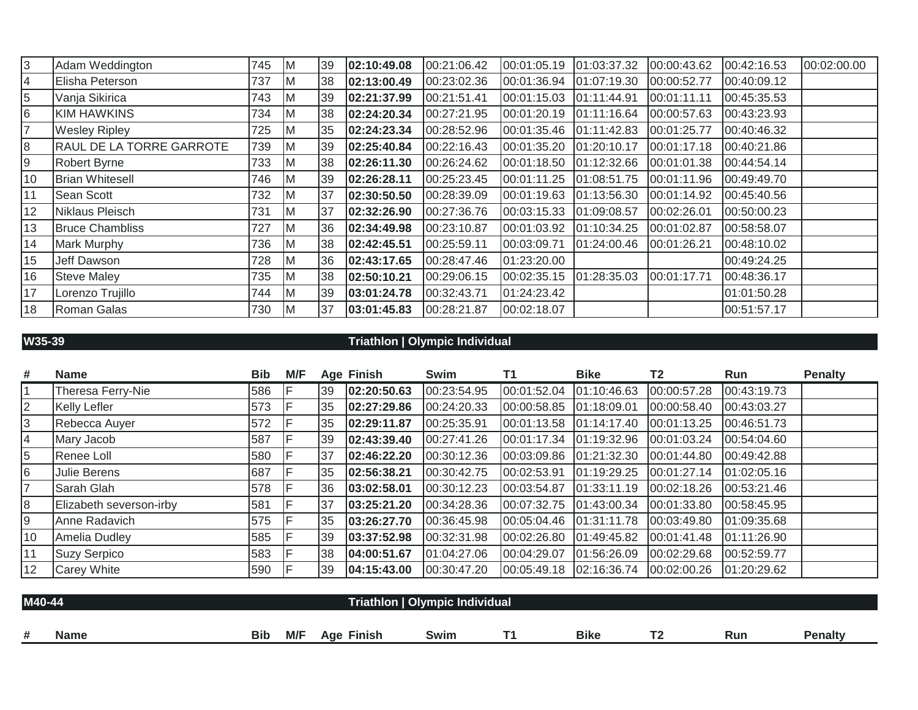| $\overline{3}$ | Adam Weddington                 | 745 | IМ           | 39 | 02:10:49.08 | 00:21:06.42 | 00:01:05.19 | 01:03:37.32 | 00:00:43.62 | 00:42:16.53 | 00:02:00.00 |
|----------------|---------------------------------|-----|--------------|----|-------------|-------------|-------------|-------------|-------------|-------------|-------------|
| 4              | Elisha Peterson                 | 737 | ΙM           | 38 | 02:13:00.49 | 00:23:02.36 | 00:01:36.94 | 01:07:19.30 | 00:00:52.77 | 00:40:09.12 |             |
| 5              | Vanja Sikirica                  | 743 | IM.          | 39 | 02:21:37.99 | 00:21:51.41 | 00:01:15.03 | 01:11:44.91 | 00:01:11.11 | 00:45:35.53 |             |
| 6              | <b>KIM HAWKINS</b>              | 734 | $\mathsf{M}$ | 38 | 02:24:20.34 | 00:27:21.95 | 00:01:20.19 | 01:11:16.64 | 00:00:57.63 | 00:43:23.93 |             |
| 17             | <b>Wesley Ripley</b>            | 725 | IМ           | 35 | 02:24:23.34 | 00:28:52.96 | 00:01:35.46 | 01:11:42.83 | 00:01:25.77 | 00:40:46.32 |             |
| 8              | <b>RAUL DE LA TORRE GARROTE</b> | 739 | $\mathsf{M}$ | 39 | 02:25:40.84 | 00:22:16.43 | 00:01:35.20 | 01:20:10.17 | 00:01:17.18 | 00:40:21.86 |             |
| 9              | <b>Robert Byrne</b>             | 733 | IM.          | 38 | 02:26:11.30 | 00:26:24.62 | 00:01:18.50 | 01:12:32.66 | 00:01:01.38 | 00:44:54.14 |             |
| 10             | <b>Brian Whitesell</b>          | 746 | IМ           | 39 | 02:26:28.11 | 00:25:23.45 | 00:01:11.25 | 01:08:51.75 | 00:01:11.96 | 00:49:49.70 |             |
| 11             | Sean Scott                      | 732 | IM.          | 37 | 02:30:50.50 | 00:28:39.09 | 00:01:19.63 | 01:13:56.30 | 00:01:14.92 | 00:45:40.56 |             |
| 12             | Niklaus Pleisch                 | 731 | IM.          | 37 | 02:32:26.90 | 00:27:36.76 | 00:03:15.33 | 01:09:08.57 | 00:02:26.01 | 00:50:00.23 |             |
| 13             | <b>Bruce Chambliss</b>          | 727 | $\mathsf{M}$ | 36 | 02:34:49.98 | 00:23:10.87 | 00:01:03.92 | 01:10:34.25 | 00:01:02.87 | 00:58:58.07 |             |
| 14             | <b>Mark Murphy</b>              | 736 | IM.          | 38 | 02:42:45.51 | 00:25:59.11 | 00:03:09.71 | 01:24:00.46 | 00:01:26.21 | 00:48:10.02 |             |
| 15             | Jeff Dawson                     | 728 | IМ           | 36 | 02:43:17.65 | 00:28:47.46 | 01:23:20.00 |             |             | 00:49:24.25 |             |
| 16             | <b>Steve Maley</b>              | 735 | $\mathsf{M}$ | 38 | 02:50:10.21 | 00:29:06.15 | 00:02:35.15 | 01:28:35.03 | 00:01:17.71 | 00:48:36.17 |             |
| 17             | Lorenzo Trujillo                | 744 | IM.          | 39 | 03:01:24.78 | 00:32:43.71 | 01:24:23.42 |             |             | 01:01:50.28 |             |
| 18             | Roman Galas                     | 730 | IM.          | 37 | 03:01:45.83 | 00:28:21.87 | 00:02:18.07 |             |             | 00:51:57.17 |             |

### **W35-39 Triathlon | Olympic Individual**

| #              | <b>Name</b>             | <b>Bib</b> | M/F |     | <b>Age Finish</b> | Swim        | Τ1          | <b>Bike</b> | <b>T2</b>   | Run         | <b>Penalty</b> |
|----------------|-------------------------|------------|-----|-----|-------------------|-------------|-------------|-------------|-------------|-------------|----------------|
|                | Theresa Ferry-Nie       | 586        |     | 39  | 02:20:50.63       | 00:23:54.95 | 00:01:52.04 | 01:10:46.63 | 00:00:57.28 | 00:43:19.73 |                |
| $\overline{2}$ | <b>Kelly Lefler</b>     | 573        |     | 35  | 02:27:29.86       | 00:24:20.33 | 00:00:58.85 | 01:18:09.01 | 00:00:58.40 | 00:43:03.27 |                |
| 3              | Rebecca Auyer           | 572        |     | 35  | 02:29:11.87       | 00:25:35.91 | 00:01:13.58 | 01:14:17.40 | 00:01:13.25 | 00:46:51.73 |                |
| 4              | Mary Jacob              | 587        |     | 39  | 02:43:39.40       | 00:27:41.26 | 00:01:17.34 | 01:19:32.96 | 00:01:03.24 | 00:54:04.60 |                |
| 5              | Renee Loll              | 580        |     | 137 | 02:46:22.20       | 00:30:12.36 | 00:03:09.86 | 01:21:32.30 | 00:01:44.80 | 00:49:42.88 |                |
| 6              | Julie Berens            | 687        |     | 35  | 02:56:38.21       | 00:30:42.75 | 00:02:53.91 | 01:19:29.25 | 00:01:27.14 | 01:02:05.16 |                |
|                | Sarah Glah              | 578        |     | 36  | 03:02:58.01       | 00:30:12.23 | 00:03:54.87 | 01:33:11.19 | 00:02:18.26 | 00:53:21.46 |                |
| 8              | Elizabeth severson-irby | 581        |     | 137 | 03:25:21.20       | 00:34:28.36 | 00:07:32.75 | 01:43:00.34 | 00:01:33.80 | 00:58:45.95 |                |
| 9              | Anne Radavich           | 575        |     | 35  | 03:26:27.70       | 00:36:45.98 | 00:05:04.46 | 01:31:11.78 | 00:03:49.80 | 01:09:35.68 |                |
| 10             | Amelia Dudley           | 585        |     | 39  | 03:37:52.98       | 00:32:31.98 | 00:02:26.80 | 01:49:45.82 | 00:01:41.48 | 01:11:26.90 |                |
|                | <b>Suzy Serpico</b>     | 583        |     | 38  | 04:00:51.67       | 01:04:27.06 | 00:04:29.07 | 01:56:26.09 | 00:02:29.68 | 00:52:59.77 |                |
| 12             | <b>Carey White</b>      | 590        |     | 39  | 04:15:43.00       | 00:30:47.20 | 00:05:49.18 | 02:16:36.74 | 00:02:00.26 | 01:20:29.62 |                |

| M40-44 |             | Triathlon   Olympic Individual |     |               |             |   |             |     |     |         |  |  |
|--------|-------------|--------------------------------|-----|---------------|-------------|---|-------------|-----|-----|---------|--|--|
|        |             |                                |     |               |             |   |             |     |     |         |  |  |
| #      | <b>Name</b> | <b>Bib</b>                     | M/F | Finish<br>Aae | <b>Swim</b> | _ | <b>Bike</b> | . . | Run | Penalty |  |  |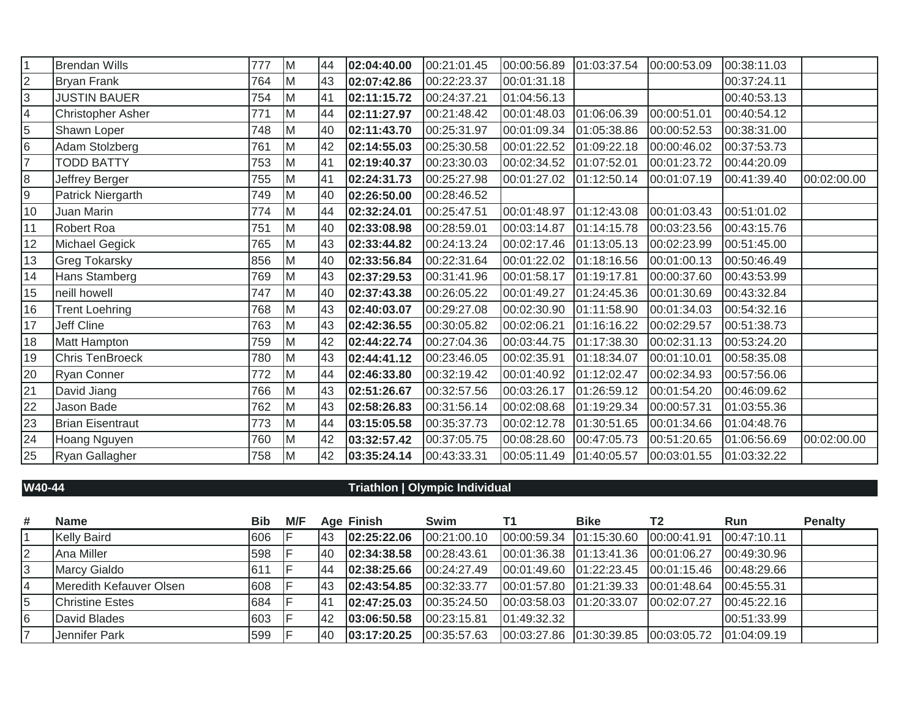| 1               | <b>Brendan Wills</b>    | 777 | M  | 44 | 02:04:40.00 | 00:21:01.45 | 00:00:56.89 | 01:03:37.54 | 00:00:53.09 | 00:38:11.03 |             |
|-----------------|-------------------------|-----|----|----|-------------|-------------|-------------|-------------|-------------|-------------|-------------|
| $\overline{2}$  | <b>Bryan Frank</b>      | 764 | M  | 43 | 02:07:42.86 | 00:22:23.37 | 00:01:31.18 |             |             | 00:37:24.11 |             |
| $\overline{3}$  | <b>JUSTIN BAUER</b>     | 754 | Iм | 41 | 02:11:15.72 | 00:24:37.21 | 01:04:56.13 |             |             | 00:40:53.13 |             |
| 4               | Christopher Asher       | 771 | M  | 44 | 02:11:27.97 | 00:21:48.42 | 00:01:48.03 | 01:06:06.39 | 00:00:51.01 | 00:40:54.12 |             |
| $\overline{5}$  | Shawn Loper             | 748 | M  | 40 | 02:11:43.70 | 00:25:31.97 | 00:01:09.34 | 01:05:38.86 | 00:00:52.53 | 00:38:31.00 |             |
| 6               | Adam Stolzberg          | 761 | M  | 42 | 02:14:55.03 | 00:25:30.58 | 00:01:22.52 | 01:09:22.18 | 00:00:46.02 | 00:37:53.73 |             |
| 7               | <b>TODD BATTY</b>       | 753 | M  | 41 | 02:19:40.37 | 00:23:30.03 | 00:02:34.52 | 01:07:52.01 | 00:01:23.72 | 00:44:20.09 |             |
| $\overline{8}$  | Jeffrey Berger          | 755 | M  | 41 | 02:24:31.73 | 00:25:27.98 | 00:01:27.02 | 01:12:50.14 | 00:01:07.19 | 00:41:39.40 | 00:02:00.00 |
| $\overline{9}$  | Patrick Niergarth       | 749 | M  | 40 | 02:26:50.00 | 00:28:46.52 |             |             |             |             |             |
| $\overline{10}$ | Juan Marin              | 774 | M  | 44 | 02:32:24.01 | 00:25:47.51 | 00:01:48.97 | 01:12:43.08 | 00:01:03.43 | 00:51:01.02 |             |
| 11              | Robert Roa              | 751 | M  | 40 | 02:33:08.98 | 00:28:59.01 | 00:03:14.87 | 01:14:15.78 | 00:03:23.56 | 00:43:15.76 |             |
| 12              | Michael Gegick          | 765 | M  | 43 | 02:33:44.82 | 00:24:13.24 | 00:02:17.46 | 01:13:05.13 | 00:02:23.99 | 00:51:45.00 |             |
| 13              | Greg Tokarsky           | 856 | M  | 40 | 02:33:56.84 | 00:22:31.64 | 00:01:22.02 | 01:18:16.56 | 00:01:00.13 | 00:50:46.49 |             |
| 14              | Hans Stamberg           | 769 | M  | 43 | 02:37:29.53 | 00:31:41.96 | 00:01:58.17 | 01:19:17.81 | 00:00:37.60 | 00:43:53.99 |             |
| 15              | neill howell            | 747 | M  | 40 | 02:37:43.38 | 00:26:05.22 | 00:01:49.27 | 01:24:45.36 | 00:01:30.69 | 00:43:32.84 |             |
| 16              | <b>Trent Loehring</b>   | 768 | M  | 43 | 02:40:03.07 | 00:29:27.08 | 00:02:30.90 | 01:11:58.90 | 00:01:34.03 | 00:54:32.16 |             |
| 17              | Jeff Cline              | 763 | M  | 43 | 02:42:36.55 | 00:30:05.82 | 00:02:06.21 | 01:16:16.22 | 00:02:29.57 | 00:51:38.73 |             |
| 18              | Matt Hampton            | 759 | M  | 42 | 02:44:22.74 | 00:27:04.36 | 00:03:44.75 | 01:17:38.30 | 00:02:31.13 | 00:53:24.20 |             |
| $\overline{19}$ | Chris TenBroeck         | 780 | M  | 43 | 02:44:41.12 | 00:23:46.05 | 00:02:35.91 | 01:18:34.07 | 00:01:10.01 | 00:58:35.08 |             |
| 20              | <b>Ryan Conner</b>      | 772 | M  | 44 | 02:46:33.80 | 00:32:19.42 | 00:01:40.92 | 01:12:02.47 | 00:02:34.93 | 00:57:56.06 |             |
| $\overline{21}$ | David Jiang             | 766 | M  | 43 | 02:51:26.67 | 00:32:57.56 | 00:03:26.17 | 01:26:59.12 | 00:01:54.20 | 00:46:09.62 |             |
| $\overline{22}$ | Jason Bade              | 762 | M  | 43 | 02:58:26.83 | 00:31:56.14 | 00:02:08.68 | 01:19:29.34 | 00:00:57.31 | 01:03:55.36 |             |
| 23              | <b>Brian Eisentraut</b> | 773 | M  | 44 | 03:15:05.58 | 00:35:37.73 | 00:02:12.78 | 01:30:51.65 | 00:01:34.66 | 01:04:48.76 |             |
| 24              | Hoang Nguyen            | 760 | M  | 42 | 03:32:57.42 | 00:37:05.75 | 00:08:28.60 | 00:47:05.73 | 00:51:20.65 | 01:06:56.69 | 00:02:00.00 |
| $\overline{25}$ | Ryan Gallagher          | 758 | M  | 42 | 03:35:24.14 | 00:43:33.31 | 00:05:11.49 | 01:40:05.57 | 00:03:01.55 | 01:03:32.22 |             |

## **W40-44 Triathlon | Olympic Individual**

| # | <b>Name</b>             | Bib        | M/F |             | <b>Age Finish</b> | Swim        | Τ1                      | <b>Bike</b>                                        | T <sub>2</sub> | Run         | <b>Penalty</b> |
|---|-------------------------|------------|-----|-------------|-------------------|-------------|-------------------------|----------------------------------------------------|----------------|-------------|----------------|
|   | <b>Kelly Baird</b>      | 606        |     | <b>143</b>  | 02:25:22.06       | 00:21:00.10 | 00:00:59.34 01:15:30.60 |                                                    | 00:00:41.91    | 00:47:10.11 |                |
|   | Ana Miller              | 598        |     | 140         | 02:34:38.58       | 00:28:43.61 |                         | 100:01:36.38  101:13:41.36  100:01:06.27           |                | 00:49:30.96 |                |
|   | Marcy Gialdo            | <b>611</b> |     | 144         | 02:38:25.66       | 00:24:27.49 |                         | 00:01:49.60  01:22:23.45  00:01:15.46  00:48:29.66 |                |             |                |
|   | Meredith Kefauver Olsen | 608        |     | <b>1</b> 43 | 02:43:54.85       | 00:32:33.77 | 00:01:57.80 01:21:39.33 |                                                    | 00:01:48.64    | 00:45:55.31 |                |
|   | <b>Christine Estes</b>  | 684        |     | 141         | 02:47:25.03       | 00:35:24.50 | 00:03:58.03 01:20:33.07 |                                                    | 100:02:07.27   | 00:45:22.16 |                |
|   | David Blades            | 603        |     | <b>42</b>   | 103:06:50.58      | 00:23:15.81 | 01:49:32.32             |                                                    |                | 00:51:33.99 |                |
|   | Jennifer Park           | 599        |     | <b>40</b>   | 03:17:20.25       | 00:35:57.63 | 00:03:27.86 01:30:39.85 |                                                    |                |             |                |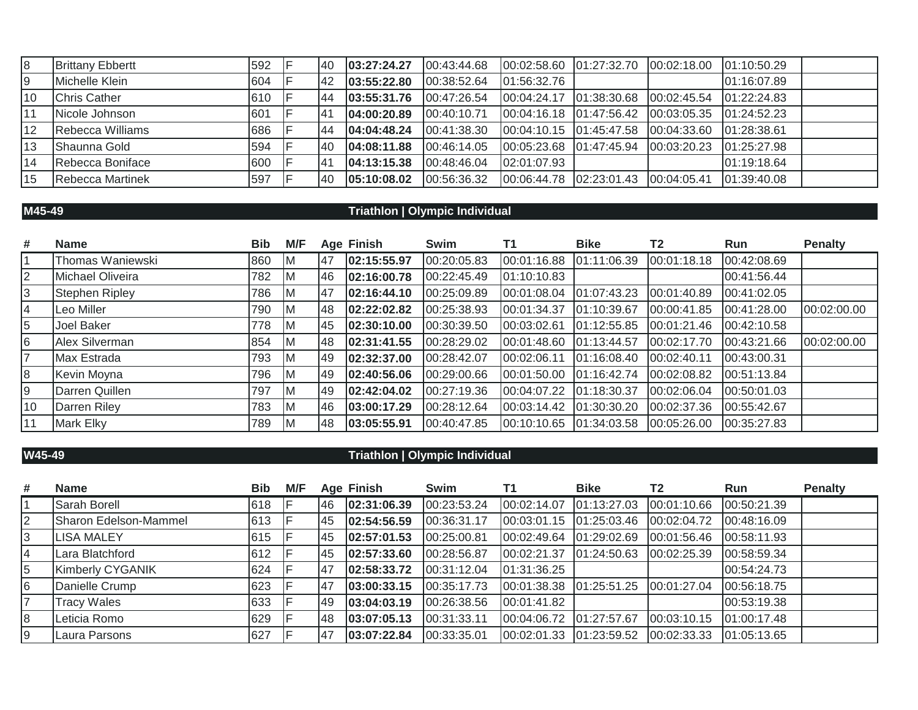| 18 | <b>Brittany Ebbertt</b> | 592 | 140          | 03:27:24.27 | [00.43.44.68] | 00:02:58.60  01:27:32.70   | 00:02:18.00             | 01:10:50.29 |  |
|----|-------------------------|-----|--------------|-------------|---------------|----------------------------|-------------------------|-------------|--|
| 9  | Michelle Klein          | 604 | $ 42\rangle$ | 03:55:22.80 | 00:38:52.64   | 01:56:32.76                |                         | 01:16:07.89 |  |
| 10 | <b>Chris Cather</b>     | 610 | 144          | 03:55:31.76 | 00:47:26.54   | 00:04:24.17 01:38:30.68    | 00:02:45.54             | 01:22:24.83 |  |
|    | Nicole Johnson          | 601 | 41           | 04:00:20.89 | 00:40:10.71   | 00.04:16.18 01.47:56.42    | 00:03:05.35 01:24:52.23 |             |  |
| 12 | Rebecca Williams        | 686 | 144          | 04:04:48.24 | 00:41:38.30   | $ 00:04:10.15$ 01:45:47.58 | 00:04:33.60             | 01:28:38.61 |  |
| 13 | Shaunna Gold            | 594 | <b>40</b>    | 04:08:11.88 | 00:46:14.05   | 00:05:23.68 01:47:45.94    | 00:03:20.23 01:25:27.98 |             |  |
| 14 | Rebecca Boniface        | 600 | 141          | 04:13:15.38 | 00:48:46.04   | 02:01:07.93                |                         | 01:19:18.64 |  |
| 15 | <b>Rebecca Martinek</b> | 597 | 40           | 05:10:08.02 | 00:56:36.32   | 00:06:44.78 02:23:01.43    | 100:04:05.41            | 01:39:40.08 |  |

## **M45-49 Triathlon | Olympic Individual**

| #  | <b>Name</b>           | <b>Bib</b> | M/F |           | <b>Age Finish</b> | Swim        | Τ1          | <b>Bike</b>   | T <sub>2</sub> | <b>Run</b>  | <b>Penalty</b> |
|----|-----------------------|------------|-----|-----------|-------------------|-------------|-------------|---------------|----------------|-------------|----------------|
|    | Thomas Waniewski      | 860        | IM. | 47        | 02:15:55.97       | 00:20:05.83 | 00:01:16.88 | 01:11:06.39   | 00:01:18.18    | 00:42:08.69 |                |
| 2  | Michael Oliveira      | 782        | IM. | 46        | 02:16:00.78       | 00:22:45.49 | 01:10:10.83 |               |                | 00:41:56.44 |                |
| 3  | <b>Stephen Ripley</b> | 786        | IM. | <b>47</b> | 02:16:44.10       | 00:25:09.89 | 00:01:08.04 | 01:07:43.23   | 00:01:40.89    | 00:41:02.05 |                |
| 4  | Leo Miller            | 790        | IМ  | 48        | 02:22:02.82       | 00:25:38.93 | 00:01:34.37 | 01:10:39.67   | 00:00:41.85    | 00:41:28.00 | 00:02:00.00    |
| 5  | Joel Baker            | 778        | ΙM  | 45        | 02:30:10.00       | 00:30:39.50 | 00:03:02.61 | 01:12:55.85   | 00:01:21.46    | 00:42:10.58 |                |
| 16 | Alex Silverman        | 854        | IM. | 48        | 02:31:41.55       | 00:28:29.02 | 00:01:48.60 | 01:13:44.57   | 00:02:17.70    | 00:43:21.66 | 00:02:00.00    |
| 17 | Max Estrada           | 793        | IM. | 49        | 02:32:37.00       | 00:28:42.07 | 00:02:06.11 | 01:16:08.40   | 00:02:40.11    | 00:43:00.31 |                |
| 8  | Kevin Moyna           | 796        | ΙM  | 49        | 02:40:56.06       | 00:29:00.66 | 00:01:50.00 | 01:16:42.74   | 00:02:08.82    | 00:51:13.84 |                |
| 9  | Darren Quillen        | 797        | ΙM  | 149       | 02:42:04.02       | 00:27:19.36 | 00:04:07.22 | [01:18:30.37] | 00:02:06.04    | 00:50:01.03 |                |
| 10 | Darren Riley          | 783        | IM. | 46        | 03:00:17.29       | 00:28:12.64 | 00:03:14.42 | 01:30:30.20   | 00:02:37.36    | 00:55:42.67 |                |
| 11 | <b>Mark Elky</b>      | 789        | ΙM  | 48        | 03:05:55.91       | 00:40:47.85 | 00:10:10.65 | 01:34:03.58   | 00:05:26.00    | 00:35:27.83 |                |

## **W45-49 Triathlon | Olympic Individual**

| # | <b>Name</b>           | <b>Bib</b> | M/F |           | <b>Age Finish</b> | Swim        | Τ1                       | <b>Bike</b>   | T <sub>2</sub> | <b>Run</b>  | <b>Penalty</b> |
|---|-----------------------|------------|-----|-----------|-------------------|-------------|--------------------------|---------------|----------------|-------------|----------------|
|   | Sarah Borell          | 618        |     | 146       | 02:31:06.39       | 00:23:53.24 | 00:02:14.07              | [01:13:27.03] | 00:01:10.66    | 00:50:21.39 |                |
|   | Sharon Edelson-Mammel | 613        |     | <b>45</b> | 02:54:56.59       | 00:36:31.17 | 00:03:01.15              | 01:25:03.46   | 00:02:04.72    | 00:48:16.09 |                |
|   | <b>LISA MALEY</b>     | 615        |     | <b>45</b> | 02:57:01.53       | 00:25:00.81 | 00:02:49.64              | 01:29:02.69   | 00:01:56.46    | 00:58:11.93 |                |
|   | Lara Blatchford       | 612        |     | <b>45</b> | 02:57:33.60       | 00:28:56.87 | 00:02:21.37              | [01:24:50.63] | 00:02:25.39    | 00:58:59.34 |                |
| 5 | Kimberly CYGANIK      | 624        |     | 47        | 02:58:33.72       | 00:31:12.04 | 01:31:36.25              |               |                | 00:54:24.73 |                |
| 6 | Danielle Crump        | 623        |     | 47        | 03:00:33.15       | 00:35:17.73 | 00:01:38.38 01:25:51.25  |               | 00:01:27.04    | 00:56:18.75 |                |
|   | <b>Tracy Wales</b>    | 633        |     | <b>49</b> | 03:04:03.19       | 00:26:38.56 | 00:01:41.82              |               |                | 00:53:19.38 |                |
| 8 | Leticia Romo          | 629        |     | 148       | 03:07:05.13       | 00:31:33.11 | 00:04:06.72  01:27:57.67 |               | [00:03:10.15]  | 01:00:17.48 |                |
|   | Laura Parsons         | 627        |     | <b>47</b> | 03:07:22.84       | 00:33:35.01 | 00:02:01.33  01:23:59.52 |               | 00:02:33.33    | 01:05:13.65 |                |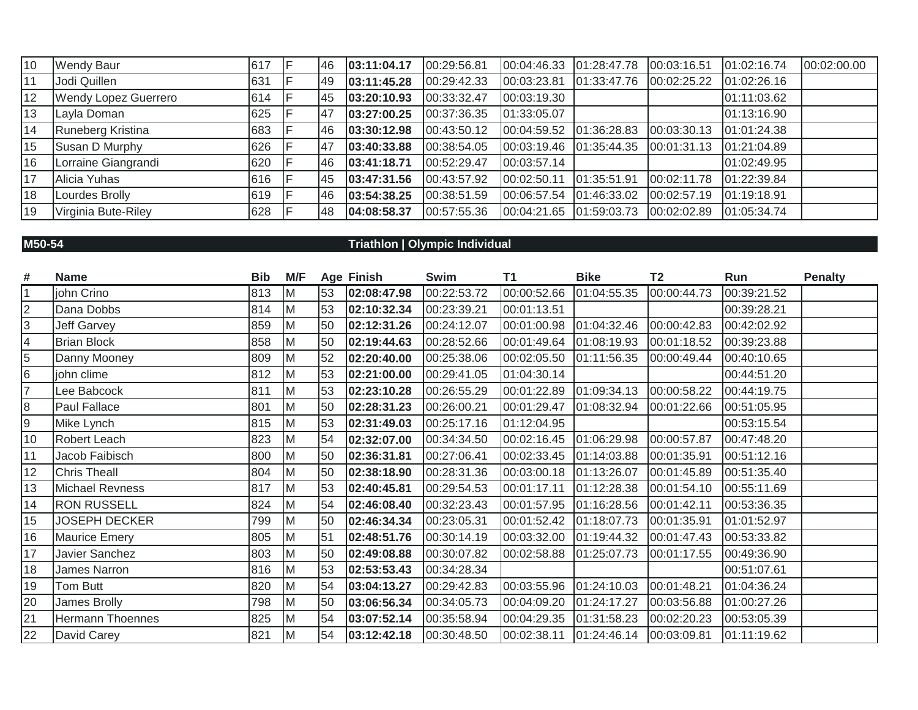| 10 | <b>Wendy Baur</b>           | 617 | 146       | 03:11:04.17 | 00:29:56.81 | 00:04:46.33 | 01:28:47.78 | 00:03:16.51 | 01:02:16.74 | 00:02:00.00 |
|----|-----------------------------|-----|-----------|-------------|-------------|-------------|-------------|-------------|-------------|-------------|
| 11 | Jodi Quillen                | 631 | <b>49</b> | 03:11:45.28 | 00:29:42.33 | 00:03:23.81 | 01:33:47.76 | 00:02:25.22 | 01:02:26.16 |             |
| 12 | <b>Wendy Lopez Guerrero</b> | 614 | <b>45</b> | 03:20:10.93 | 00:33:32.47 | 00:03:19.30 |             |             | 01:11:03.62 |             |
| 13 | Layla Doman                 | 625 | 47        | 03:27:00.25 | 00:37:36.35 | 01:33:05.07 |             |             | 01:13:16.90 |             |
| 14 | Runeberg Kristina           | 683 | <b>46</b> | 03:30:12.98 | 00:43:50.12 | 00:04:59.52 | 01:36:28.83 | 00:03:30.13 | 01:01:24.38 |             |
| 15 | Susan D Murphy              | 626 | 47        | 03:40:33.88 | 00:38:54.05 | 00:03:19.46 | 01:35:44.35 | 00:01:31.13 | 01:21:04.89 |             |
| 16 | Lorraine Giangrandi         | 620 | <b>46</b> | 03:41:18.71 | 00:52:29.47 | 00:03:57.14 |             |             | 01:02:49.95 |             |
| 17 | Alicia Yuhas                | 616 | <b>45</b> | 03:47:31.56 | 00:43:57.92 | 00:02:50.11 | 01:35:51.91 | 00:02:11.78 | 01:22:39.84 |             |
| 18 | Lourdes Brolly              | 619 | 146       | 03:54:38.25 | 00:38:51.59 | 00:06:57.54 | 01:46:33.02 | 00:02:57.19 | 01:19:18.91 |             |
| 19 | Virginia Bute-Riley         | 628 | <b>48</b> | 04:08:58.37 | 00:57:55.36 | 00:04:21.65 | 01:59:03.73 | 00:02:02.89 | 01:05:34.74 |             |

## **M50-54 Triathlon | Olympic Individual**

| #  | <b>Name</b>             | <b>Bib</b> | M/F      |    | Age Finish  | Swim        | T1                       | <b>Bike</b> | <b>T2</b>   | Run         | <b>Penalty</b> |
|----|-------------------------|------------|----------|----|-------------|-------------|--------------------------|-------------|-------------|-------------|----------------|
|    | john Crino              | 813        | <b>M</b> | 53 | 02:08:47.98 | 00:22:53.72 | 00:00:52.66  01:04:55.35 |             | 00:00:44.73 | 00:39:21.52 |                |
| 2  | Dana Dobbs              | 814        | M        | 53 | 02:10:32.34 | 00:23:39.21 | 00:01:13.51              |             |             | 00:39:28.21 |                |
| 3  | Jeff Garvey             | 859        | M        | 50 | 02:12:31.26 | 00:24:12.07 | 00:01:00.98              | 01:04:32.46 | 00:00:42.83 | 00:42:02.92 |                |
| 4  | <b>Brian Block</b>      | 858        | <b>M</b> | 50 | 02:19:44.63 | 00:28:52.66 | 00:01:49.64              | 01:08:19.93 | 00:01:18.52 | 00:39:23.88 |                |
| 5  | Danny Mooney            | 809        | M        | 52 | 02:20:40.00 | 00:25:38.06 | 00:02:05.50              | 01:11:56.35 | 00:00:49.44 | 00:40:10.65 |                |
| 6  | john clime              | 812        | M        | 53 | 02:21:00.00 | 00:29:41.05 | 01:04:30.14              |             |             | 00:44:51.20 |                |
| 7  | Lee Babcock             | 811        | M        | 53 | 02:23:10.28 | 00:26:55.29 | 00:01:22.89              | 01:09:34.13 | 00:00:58.22 | 00:44:19.75 |                |
| 8  | Paul Fallace            | 801        | M        | 50 | 02:28:31.23 | 00:26:00.21 | 00:01:29.47              | 01:08:32.94 | 00:01:22.66 | 00:51:05.95 |                |
| 9  | Mike Lynch              | 815        | M        | 53 | 02:31:49.03 | 00:25:17.16 | 01:12:04.95              |             |             | 00:53:15.54 |                |
| 10 | Robert Leach            | 823        | <b>M</b> | 54 | 02:32:07.00 | 00:34:34.50 | 00:02:16.45              | 01:06:29.98 | 00:00:57.87 | 00:47:48.20 |                |
| 11 | Jacob Faibisch          | 800        | M        | 50 | 02:36:31.81 | 00:27:06.41 | 00:02:33.45              | 01:14:03.88 | 00:01:35.91 | 00:51:12.16 |                |
| 12 | <b>Chris Theall</b>     | 804        | <b>M</b> | 50 | 02:38:18.90 | 00:28:31.36 | 00:03:00.18              | 01:13:26.07 | 00:01:45.89 | 00:51:35.40 |                |
| 13 | Michael Revness         | 817        | M        | 53 | 02:40:45.81 | 00:29:54.53 | 00:01:17.11              | 01:12:28.38 | 00:01:54.10 | 00:55:11.69 |                |
| 14 | <b>RON RUSSELL</b>      | 824        | M        | 54 | 02:46:08.40 | 00:32:23.43 | 00:01:57.95              | 01:16:28.56 | 00:01:42.11 | 00:53:36.35 |                |
| 15 | <b>JOSEPH DECKER</b>    | 799        | M        | 50 | 02:46:34.34 | 00:23:05.31 | 00:01:52.42              | 01:18:07.73 | 00:01:35.91 | 01:01:52.97 |                |
| 16 | <b>Maurice Emery</b>    | 805        | M        | 51 | 02:48:51.76 | 00:30:14.19 | 00:03:32.00              | 01:19:44.32 | 00:01:47.43 | 00:53:33.82 |                |
| 17 | Javier Sanchez          | 803        | M        | 50 | 02:49:08.88 | 00:30:07.82 | 00:02:58.88              | 01:25:07.73 | 00:01:17.55 | 00:49:36.90 |                |
| 18 | James Narron            | 816        | Iм       | 53 | 02:53:53.43 | 00:34:28.34 |                          |             |             | 00:51:07.61 |                |
| 19 | Tom Butt                | 820        | M        | 54 | 03:04:13.27 | 00:29:42.83 | 00:03:55.96              | 01:24:10.03 | 00:01:48.21 | 01:04:36.24 |                |
| 20 | James Brolly            | 798        | <b>M</b> | 50 | 03:06:56.34 | 00:34:05.73 | 00:04:09.20              | 01:24:17.27 | 00:03:56.88 | 01:00:27.26 |                |
| 21 | <b>Hermann Thoennes</b> | 825        | M        | 54 | 03:07:52.14 | 00:35:58.94 | 00:04:29.35              | 01:31:58.23 | 00:02:20.23 | 00:53:05.39 |                |
| 22 | David Carey             | 821        | M        | 54 | 03:12:42.18 | 00:30:48.50 | 00:02:38.11              | 01:24:46.14 | 00:03:09.81 | 01:11:19.62 |                |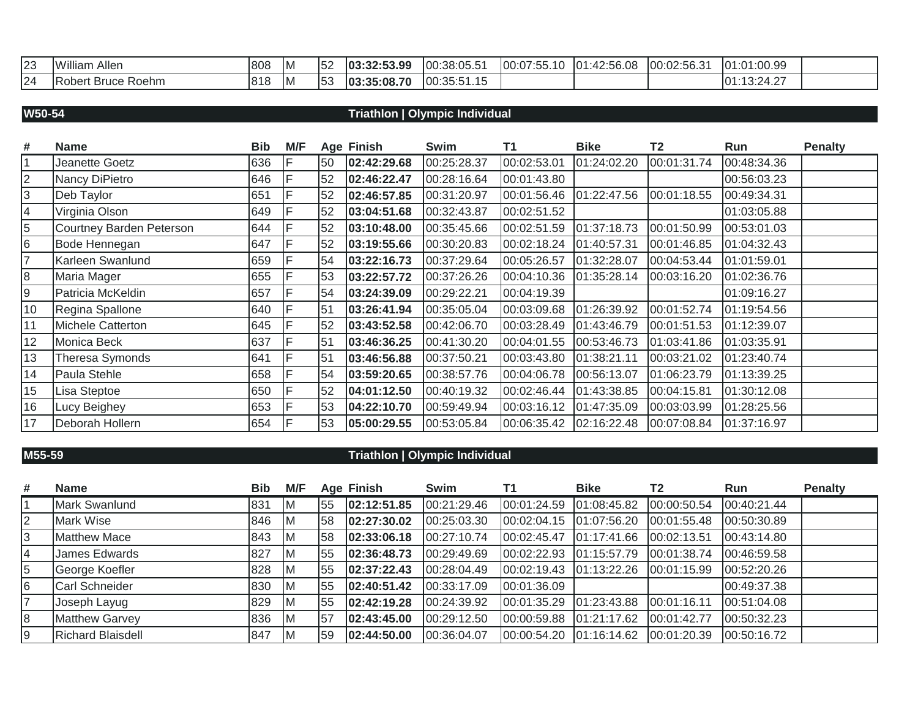| 23 | Allen<br>. . <i>.</i><br>™illiam       | 808 | IM. | 52 | 03:32:53.99      | 00:38:05.5  | $- -$<br>100:0<br>$\sim$ $-$<br>ハトト<br>$\cdot$ | 2:56.08<br>101<br>ツ・トト<br>4.7 | 0256.31<br>$\sim$<br>100:02:56.3 | 1:00.99<br>$\Delta$<br>I ∩ 4<br>ιU                          |  |
|----|----------------------------------------|-----|-----|----|------------------|-------------|------------------------------------------------|-------------------------------|----------------------------------|-------------------------------------------------------------|--|
| 24 | Roehm<br><b>Bruce</b><br><b>Robert</b> | 818 | HV. | 53 | .35:08.70<br>103 | 00:35:51.15 |                                                |                               |                                  | $\sim$ $\sim$ $\sim$<br>10.01<br>10 <sup>2</sup><br>19.27.2 |  |

### **W50-54 Triathlon | Olympic Individual**

| #               | <b>Name</b>              | <b>Bib</b> | M/F |    | <b>Age Finish</b> | Swim        | T1          | <b>Bike</b> | T <sub>2</sub> | Run         | <b>Penalty</b> |
|-----------------|--------------------------|------------|-----|----|-------------------|-------------|-------------|-------------|----------------|-------------|----------------|
| $\mathbf{1}$    | Jeanette Goetz           | 636        |     | 50 | 02:42:29.68       | 00:25:28.37 | 00:02:53.01 | 01:24:02.20 | 00:01:31.74    | 00:48:34.36 |                |
| $\overline{2}$  | Nancy DiPietro           | 646        |     | 52 | 02:46:22.47       | 00:28:16.64 | 00:01:43.80 |             |                | 00:56:03.23 |                |
| 3               | Deb Taylor               | 651        |     | 52 | 02:46:57.85       | 00:31:20.97 | 00:01:56.46 | 01:22:47.56 | 00:01:18.55    | 00:49:34.31 |                |
| $\overline{4}$  | Virginia Olson           | 649        |     | 52 | 03:04:51.68       | 00:32:43.87 | 00:02:51.52 |             |                | 01:03:05.88 |                |
| 5               | Courtney Barden Peterson | 644        |     | 52 | 03:10:48.00       | 00:35:45.66 | 00:02:51.59 | 01:37:18.73 | 00:01:50.99    | 00:53:01.03 |                |
| $6\phantom{.}6$ | Bode Hennegan            | 647        |     | 52 | 03:19:55.66       | 00:30:20.83 | 00:02:18.24 | 01:40:57.31 | 00:01:46.85    | 01:04:32.43 |                |
| $\overline{7}$  | Karleen Swanlund         | 659        |     | 54 | 03:22:16.73       | 00:37:29.64 | 00:05:26.57 | 01:32:28.07 | 00:04:53.44    | 01:01:59.01 |                |
| 8               | Maria Mager              | 655        |     | 53 | 03:22:57.72       | 00:37:26.26 | 00:04:10.36 | 01:35:28.14 | 00:03:16.20    | 01:02:36.76 |                |
| $9\,$           | Patricia McKeldin        | 657        |     | 54 | 03:24:39.09       | 00:29:22.21 | 00:04:19.39 |             |                | 01:09:16.27 |                |
| 10              | Regina Spallone          | 640        |     | 51 | 03:26:41.94       | 00:35:05.04 | 00:03:09.68 | 01:26:39.92 | 00:01:52.74    | 01:19:54.56 |                |
| 11              | Michele Catterton        | 645        |     | 52 | 03:43:52.58       | 00:42:06.70 | 00:03:28.49 | 01:43:46.79 | 00:01:51.53    | 01:12:39.07 |                |
| 12              | Monica Beck              | 637        |     | 51 | 03:46:36.25       | 00:41:30.20 | 00:04:01.55 | 00:53:46.73 | 01:03:41.86    | 01:03:35.91 |                |
| 13              | Theresa Symonds          | 641        |     | 51 | 03:46:56.88       | 00:37:50.21 | 00:03:43.80 | 01:38:21.11 | 00:03:21.02    | 01:23:40.74 |                |
| 14              | Paula Stehle             | 658        |     | 54 | 03:59:20.65       | 00:38:57.76 | 00:04:06.78 | 00:56:13.07 | 01:06:23.79    | 01:13:39.25 |                |
| 15              | Lisa Steptoe             | 650        |     | 52 | 04:01:12.50       | 00:40:19.32 | 00:02:46.44 | 01:43:38.85 | 00:04:15.81    | 01:30:12.08 |                |
| 16              | Lucy Beighey             | 653        |     | 53 | 04:22:10.70       | 00:59:49.94 | 00:03:16.12 | 01:47:35.09 | 00:03:03.99    | 01:28:25.56 |                |
| 17              | Deborah Hollern          | 654        |     | 53 | 05:00:29.55       | 00:53:05.84 | 00:06:35.42 | 02:16:22.48 | 00:07:08.84    | 01:37:16.97 |                |

## **M55-59 Triathlon | Olympic Individual**

| #              | <b>Name</b>              | Bib | M/F |    | <b>Age Finish</b> | Swim        | Τ1                       | <b>Bike</b>   | T <sub>2</sub> | <b>Run</b>  | <b>Penalty</b> |
|----------------|--------------------------|-----|-----|----|-------------------|-------------|--------------------------|---------------|----------------|-------------|----------------|
|                | Mark Swanlund            | 831 | IΜ  | 55 | 02:12:51.85       | 00:21:29.46 | 00:01:24.59              | 01:08:45.82   | 00:00:50.54    | 00:40:21.44 |                |
| $\overline{2}$ | Mark Wise                | 846 | IΜ  | 58 | 02:27:30.02       | 00:25:03.30 | 00:02:04.15              | [01:07:56.20] | 00:01:55.48    | 00:50:30.89 |                |
|                | <b>Matthew Mace</b>      | 843 | ıМ  | 58 | 02:33:06.18       | 00:27:10.74 | 00:02:45.47              | 01:17:41.66   | 00:02:13.51    | 00:43:14.80 |                |
|                | James Edwards            | 827 | IΜ  | 55 | 02:36:48.73       | 00:29:49.69 |                          |               | 00:01:38.74    | 00:46:59.58 |                |
| 5              | George Koefler           | 828 | IΜ  | 55 | 02:37:22.43       | 00:28:04.49 |                          |               | 00:01:15.99    | 00:52:20.26 |                |
| 6              | Carl Schneider           | 830 | ΙM  | 55 | 02:40:51.42       | 00:33:17.09 | 00:01:36.09              |               |                | 00:49:37.38 |                |
|                | Joseph Layug             | 829 | ΙM  | 55 | 02:42:19.28       | 00:24:39.92 | 00:01:35.29              | 01:23:43.88   | 00:01:16.11    | 00:51:04.08 |                |
| 8              | <b>Matthew Garvey</b>    | 836 | ΙM  | 57 | 02:43:45.00       | 00:29:12.50 | 00:00:59.88  01:21:17.62 |               | 00:01:42.77    | 00:50:32.23 |                |
|                | <b>Richard Blaisdell</b> | 847 |     | 59 | 02:44:50.00       | 00:36:04.07 | 00:00:54.20              | [01:16:14.62] | 00:01:20.39    | 00:50:16.72 |                |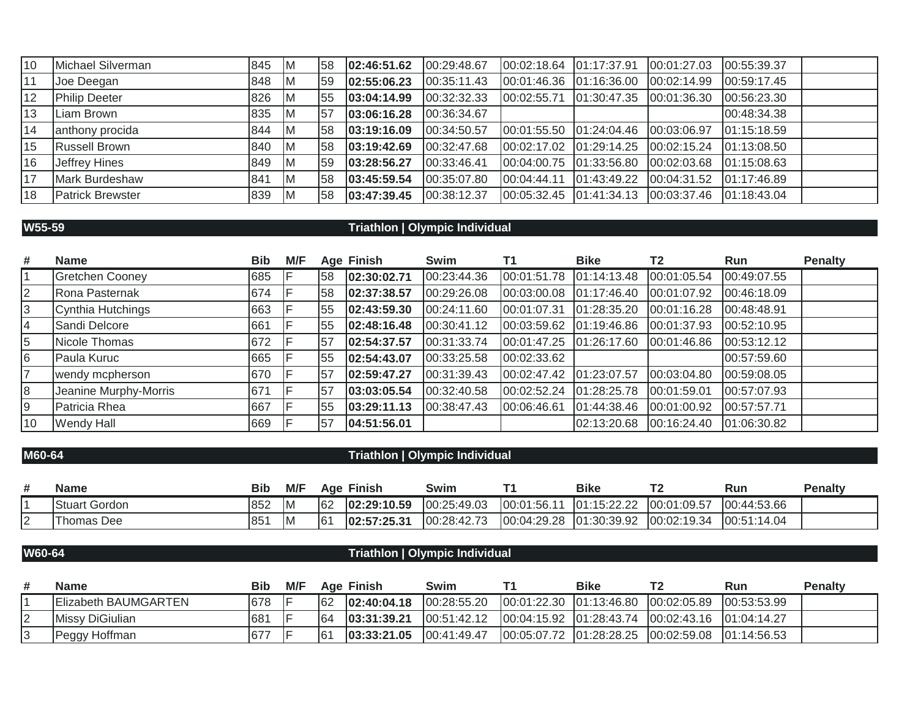| 10 | Michael Silverman    | 845 | IM. | 58 | 02:46:51.62 | 00:29:48.67 | 00:02:18.64 01:17:37.91 |                                                                   | 00:01:27.03             | 00:55:39.37 |
|----|----------------------|-----|-----|----|-------------|-------------|-------------------------|-------------------------------------------------------------------|-------------------------|-------------|
| 11 | Joe Deegan           | 848 | IM. | 59 | 02:55:06.23 | 00:35:11.43 | 00:01:46.36 01:16:36.00 |                                                                   | 00:02:14.99             | 00:59:17.45 |
| 12 | <b>Philip Deeter</b> | 826 | IM. | 55 | 03:04:14.99 | 00:32:32.33 | 00:02:55.71 01:30:47.35 |                                                                   | 00:01:36.30             | 00:56:23.30 |
| 13 | Liam Brown           | 835 | IM. | 57 | 03:06:16.28 | 00:36:34.67 |                         |                                                                   |                         | 00:48:34.38 |
| 14 | anthony procida      | 844 | ΙM  | 58 | 03:19:16.09 | 00:34:50.57 |                         | 00:01:55.50  01:24:04.46  00:03:06.97                             |                         | 01:15:18.59 |
| 15 | Russell Brown        | 840 | IM. | 58 | 03:19:42.69 | 00:32:47.68 | 00:02:17.02 01:29:14.25 |                                                                   | 00:02:15.24             | 01:13:08.50 |
| 16 | Jeffrey Hines        | 849 | IM. | 59 | 03:28:56.27 | 00:33:46.41 | 00:04:00.75 01:33:56.80 |                                                                   | 00:02:03.68             | 01:15:08.63 |
| 17 | Mark Burdeshaw       | 841 | IM. | 58 | 03:45:59.54 | 00:35:07.80 | 00:04:44.11 01:43:49.22 |                                                                   | 00:04:31.52 01:17:46.89 |             |
| 18 | Patrick Brewster     | 839 | IM. | 58 | 03:47:39.45 | 00:38:12.37 |                         | $[00:05:32.45 \mid 01:41:34.13 \mid 00:03:37.46 \mid 01:18:43.04$ |                         |             |

## **W55-59 Triathlon | Olympic Individual**

| #  | <b>Name</b>            | <b>Bib</b> | M/F |     | <b>Age Finish</b> | Swim        |             | <b>Bike</b>   | T <sub>2</sub> | <b>Run</b>  | <b>Penalty</b> |
|----|------------------------|------------|-----|-----|-------------------|-------------|-------------|---------------|----------------|-------------|----------------|
|    | <b>Gretchen Cooney</b> | 685        |     | 158 | 02:30:02.71       | 00:23:44.36 | 00:01:51.78 | 01:14:13.48   | 00:01:05.54    | 00:49:07.55 |                |
| l2 | Rona Pasternak         | 674        |     | 158 | 02:37:38.57       | 00:29:26.08 | 00:03:00.08 | [01:17:46.40] | 00:01:07.92    | 00:46:18.09 |                |
| 3  | Cynthia Hutchings      | 663        |     | 55  | 02:43:59.30       | 00:24:11.60 | 00:01:07.31 | 01:28:35.20   | 00:01:16.28    | 00:48:48.91 |                |
| 14 | Sandi Delcore          | 661        |     | 55  | 02:48:16.48       | 00:30:41.12 | 00:03:59.62 | 01:19:46.86   | 00:01:37.93    | 00:52:10.95 |                |
| 5  | Nicole Thomas          | 672        |     | 57  | 02:54:37.57       | 00:31:33.74 | 00:01:47.25 | 01:26:17.60   | 00:01:46.86    | 00:53:12.12 |                |
| 6  | Paula Kuruc            | 665        |     | 155 | 02:54:43.07       | 00:33:25.58 | 00:02:33.62 |               |                | 00:57:59.60 |                |
| 17 | wendy mcpherson        | 670        |     | 57  | 02:59:47.27       | 00:31:39.43 | 00:02:47.42 | 01:23:07.57   | 00:03:04.80    | 00:59:08.05 |                |
| 8  | Jeanine Murphy-Morris  | 671        |     | 57  | 03:03:05.54       | 00:32:40.58 | 00:02:52.24 | 01:28:25.78   | 00:01:59.01    | 00:57:07.93 |                |
| 19 | Patricia Rhea          | 667        |     | 55  | 03:29:11.13       | 00:38:47.43 | 00:06:46.61 | 01:44:38.46   | 00:01:00.92    | 00:57:57.71 |                |
| 10 | Wendy Hall             | 669        |     | 57  | 04:51:56.01       |             |             | 02:13:20.68   | 00:16:24.40    | 01:06:30.82 |                |

### **M60-64 Triathlon | Olympic Individual**

|        | <b>Name</b>          | Bib          | M/F | Aae | <b>Finish</b> | Swim        |             | <b>Bike</b>           | <b>ΤΩ</b>   | Run         | <b>Penalty</b> |
|--------|----------------------|--------------|-----|-----|---------------|-------------|-------------|-----------------------|-------------|-------------|----------------|
|        | <b>Stuart Gordon</b> | 852          | IM  | 62  | 02:29:10.59   | 00:25:49.03 | 00:01:56.11 | 101:15:22.22<br>----- | 00:01:09.57 | 00:44:53.66 |                |
| $\sim$ | Thomas Dee           | $85^{\circ}$ | ΙM  | l61 | 02:57:25.31   | 00:28:42.73 | 00:04:29.28 | 01:30:39.92           | 00:02:19.34 | 00:51:14.04 |                |

## **W60-64 Triathlon | Olympic Individual**

| # | <b>Name</b>          | Bib | M/F | Age | <b>Finish</b> | Swim         | Bike | Run | <b>Penalty</b> |
|---|----------------------|-----|-----|-----|---------------|--------------|------|-----|----------------|
|   | Elizabeth BAUMGARTEN | 678 |     | 62  | 102:40:04.18  | 100:28:55.20 |      |     |                |
| ⊢ | Missy DiGiulian      | 681 |     | 64  | 103:31:39.21  | 00:51:42.12  |      |     |                |
|   | <b>Peggy Hoffman</b> | 67  |     | 61  | 103:33:21.05  | 100:41:49.47 |      |     |                |